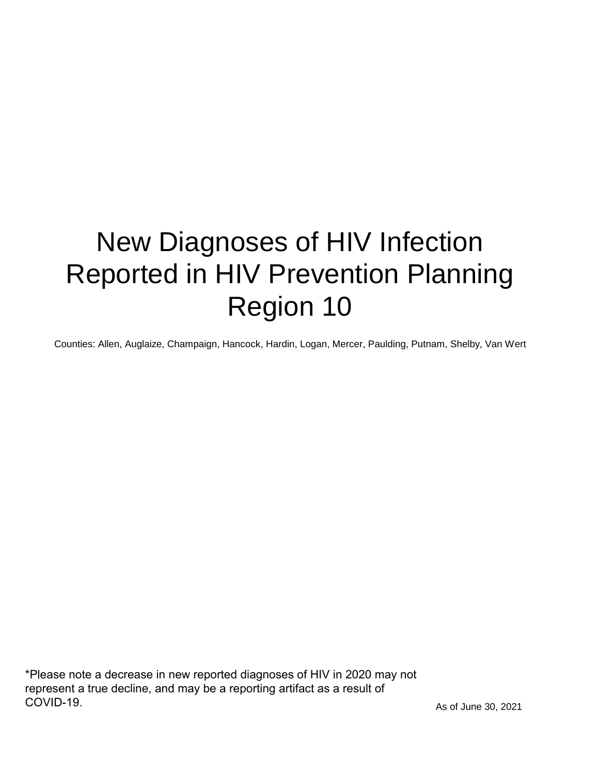# New Diagnoses of HIV Infection Reported in HIV Prevention Planning Region 10

Counties: Allen, Auglaize, Champaign, Hancock, Hardin, Logan, Mercer, Paulding, Putnam, Shelby, Van Wert

\*Please note a decrease in new reported diagnoses of HIV in 2020 may not represent a true decline, and may be a reporting artifact as a result of COVID-19.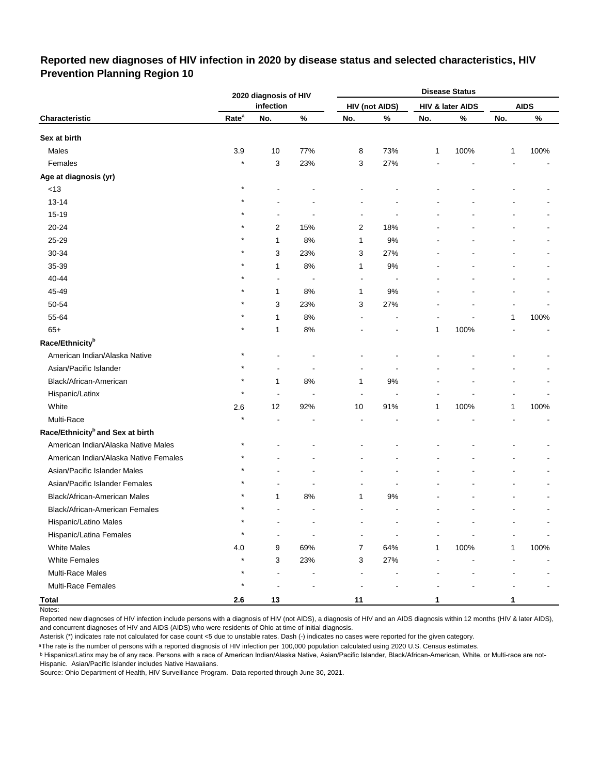#### **Reported new diagnoses of HIV infection in 2020 by disease status and selected characteristics, HIV Prevention Planning Region 10**

|                                              |                   | 2020 diagnosis of HIV |                          |                |                       |     | <b>Disease Status</b>       |              |             |
|----------------------------------------------|-------------------|-----------------------|--------------------------|----------------|-----------------------|-----|-----------------------------|--------------|-------------|
|                                              |                   | infection             |                          |                | <b>HIV (not AIDS)</b> |     | <b>HIV &amp; later AIDS</b> |              | <b>AIDS</b> |
| Characteristic                               | Rate <sup>a</sup> | No.                   | $\%$                     | No.            | $\%$                  | No. | $\%$                        | No.          | $\%$        |
| Sex at birth                                 |                   |                       |                          |                |                       |     |                             |              |             |
| Males                                        | 3.9               | 10                    | 77%                      | 8              | 73%                   | 1   | 100%                        | 1            | 100%        |
| Females                                      | $\star$           | 3                     | 23%                      | 3              | 27%                   |     |                             |              |             |
| Age at diagnosis (yr)                        |                   |                       |                          |                |                       |     |                             |              |             |
| $<13$                                        | $\star$           |                       |                          |                |                       |     |                             |              |             |
| $13 - 14$                                    |                   |                       |                          |                |                       |     |                             |              |             |
| 15-19                                        |                   |                       |                          |                |                       |     |                             |              |             |
| 20-24                                        |                   | 2                     | 15%                      | 2              | 18%                   |     |                             |              |             |
| 25-29                                        |                   | 1                     | 8%                       | 1              | 9%                    |     |                             |              |             |
| 30-34                                        |                   | 3                     | 23%                      | 3              | 27%                   |     |                             |              |             |
| 35-39                                        |                   | 1                     | 8%                       | 1              | $9\%$                 |     |                             |              |             |
| 40-44                                        |                   | $\blacksquare$        | $\blacksquare$           | $\blacksquare$ | $\overline{a}$        |     |                             |              |             |
| 45-49                                        |                   | 1                     | 8%                       | 1              | 9%                    |     |                             |              |             |
| 50-54                                        |                   | 3                     | 23%                      | 3              | 27%                   |     |                             |              |             |
| 55-64                                        |                   | 1                     | 8%                       | ä,             |                       |     |                             | 1            | 100%        |
| $65+$                                        |                   | 1                     | 8%                       |                |                       | 1   | 100%                        |              |             |
| Race/Ethnicity <sup>b</sup>                  |                   |                       |                          |                |                       |     |                             |              |             |
| American Indian/Alaska Native                |                   |                       |                          |                |                       |     |                             |              |             |
| Asian/Pacific Islander                       |                   |                       |                          |                |                       |     |                             |              |             |
| Black/African-American                       | $\star$           | 1                     | 8%                       | 1              | $9\%$                 |     |                             |              |             |
| Hispanic/Latinx                              | $\star$           | ÷,                    | $\overline{\phantom{a}}$ |                | $\blacksquare$        |     |                             |              |             |
| White                                        | 2.6               | 12                    | 92%                      | 10             | 91%                   | 1   | 100%                        | 1            | 100%        |
| Multi-Race                                   |                   |                       |                          |                |                       |     |                             |              |             |
| Race/Ethnicity <sup>b</sup> and Sex at birth |                   |                       |                          |                |                       |     |                             |              |             |
| American Indian/Alaska Native Males          | $\ast$            |                       |                          |                |                       |     |                             |              |             |
| American Indian/Alaska Native Females        |                   |                       |                          |                |                       |     |                             |              |             |
| Asian/Pacific Islander Males                 |                   |                       |                          |                |                       |     |                             |              |             |
| Asian/Pacific Islander Females               |                   |                       |                          |                |                       |     |                             |              |             |
| Black/African-American Males                 |                   | 1                     | 8%                       | 1              | 9%                    |     |                             |              |             |
| Black/African-American Females               | $\star$           | ۰                     | $\overline{a}$           | ä,             | $\overline{a}$        |     |                             |              |             |
| Hispanic/Latino Males                        | $\star$           |                       |                          |                |                       |     |                             |              |             |
| Hispanic/Latina Females                      | $\star$           | $\blacksquare$        |                          |                |                       |     |                             |              |             |
| <b>White Males</b>                           | 4.0               | 9                     | 69%                      | 7              | 64%                   | 1   | 100%                        | $\mathbf{1}$ | 100%        |
| <b>White Females</b>                         | $\star$           | 3                     | 23%                      | 3              | 27%                   |     |                             |              |             |
| Multi-Race Males                             | $\star$           | ÷                     |                          |                |                       |     |                             |              |             |
| Multi-Race Females                           | $\star$           |                       |                          |                |                       |     |                             |              |             |
| <b>Total</b>                                 | 2.6               | 13                    |                          | 11             |                       | 1   |                             |              |             |

Notes:

Reported new diagnoses of HIV infection include persons with a diagnosis of HIV (not AIDS), a diagnosis of HIV and an AIDS diagnosis within 12 months (HIV & later AIDS), and concurrent diagnoses of HIV and AIDS (AIDS) who were residents of Ohio at time of initial diagnosis.

Asterisk (\*) indicates rate not calculated for case count <5 due to unstable rates. Dash (-) indicates no cases were reported for the given category.

<sup>a</sup>The rate is the number of persons with a reported diagnosis of HIV infection per 100,000 population calculated using 2020 U.S. Census estimates.

ᵇ Hispanics/Latinx may be of any race. Persons with a race of American Indian/Alaska Native, Asian/Pacific Islander, Black/African-American, White, or Multi-race are not-Hispanic. Asian/Pacific Islander includes Native Hawaiians.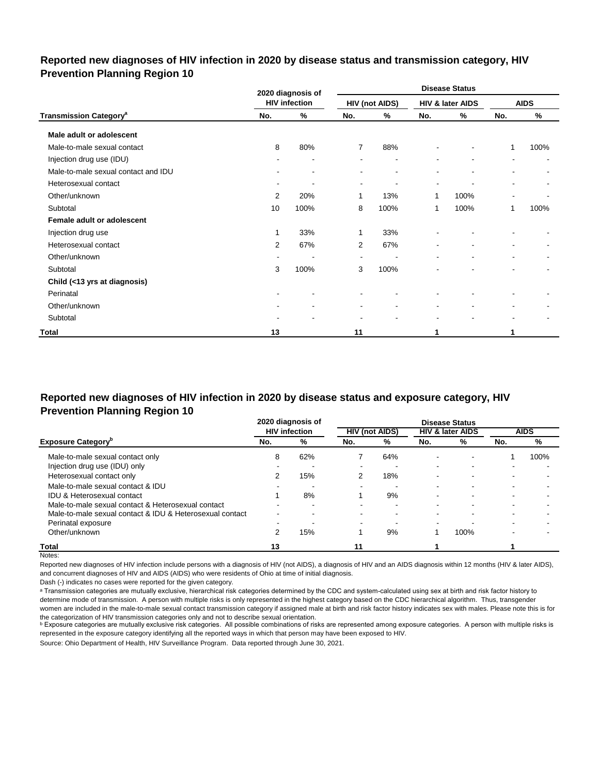#### **Reported new diagnoses of HIV infection in 2020 by disease status and transmission category, HIV Prevention Planning Region 10**

|                                          |                          | 2020 diagnosis of        |                          |                       |                          | <b>Disease Status</b>    |                          |                          |
|------------------------------------------|--------------------------|--------------------------|--------------------------|-----------------------|--------------------------|--------------------------|--------------------------|--------------------------|
|                                          |                          | <b>HIV infection</b>     |                          | <b>HIV (not AIDS)</b> |                          | HIV & later AIDS         |                          | <b>AIDS</b>              |
| <b>Transmission Category<sup>a</sup></b> | No.                      | %                        | No.                      | %                     | No.                      | %                        | No.                      | %                        |
| Male adult or adolescent                 |                          |                          |                          |                       |                          |                          |                          |                          |
| Male-to-male sexual contact              | 8                        | 80%                      | $\overline{7}$           | 88%                   |                          |                          | 1                        | 100%                     |
| Injection drug use (IDU)                 |                          |                          |                          |                       |                          |                          | ۰                        |                          |
| Male-to-male sexual contact and IDU      | $\blacksquare$           | $\blacksquare$           |                          | ۰                     |                          | ۰                        |                          |                          |
| Heterosexual contact                     | ٠                        | $\overline{\phantom{a}}$ | $\overline{\phantom{a}}$ |                       | $\overline{\phantom{a}}$ | $\overline{\phantom{a}}$ | $\blacksquare$           | ۰                        |
| Other/unknown                            | 2                        | 20%                      | 1                        | 13%                   | 1                        | 100%                     | $\overline{\phantom{a}}$ |                          |
| Subtotal                                 | 10                       | 100%                     | 8                        | 100%                  | 1                        | 100%                     | 1                        | 100%                     |
| Female adult or adolescent               |                          |                          |                          |                       |                          |                          |                          |                          |
| Injection drug use                       | 1                        | 33%                      | 1                        | 33%                   |                          |                          |                          |                          |
| Heterosexual contact                     | $\overline{2}$           | 67%                      | 2                        | 67%                   |                          |                          | ۰                        |                          |
| Other/unknown                            | $\overline{\phantom{a}}$ | $\overline{\phantom{a}}$ | $\overline{\phantom{a}}$ |                       |                          | ۰                        | $\sim$                   | $\overline{\phantom{a}}$ |
| Subtotal                                 | 3                        | 100%                     | 3                        | 100%                  |                          |                          |                          |                          |
| Child (<13 yrs at diagnosis)             |                          |                          |                          |                       |                          |                          |                          |                          |
| Perinatal                                |                          | $\blacksquare$           |                          |                       |                          |                          |                          |                          |
| Other/unknown                            |                          | $\blacksquare$           | $\blacksquare$           | $\blacksquare$        | $\blacksquare$           | $\blacksquare$           | $\blacksquare$           |                          |
| Subtotal                                 |                          |                          |                          |                       | $\overline{\phantom{a}}$ |                          | $\blacksquare$           |                          |
| Total                                    | 13                       |                          | 11                       |                       | 1                        |                          | 1                        |                          |

#### **Reported new diagnoses of HIV infection in 2020 by disease status and exposure category, HIV Prevention Planning Region 10**

|                                                          |                          | 2020 diagnosis of    |                          |                       |                          | <b>Disease Status</b>       |     |             |
|----------------------------------------------------------|--------------------------|----------------------|--------------------------|-----------------------|--------------------------|-----------------------------|-----|-------------|
|                                                          |                          | <b>HIV</b> infection |                          | <b>HIV (not AIDS)</b> |                          | <b>HIV &amp; later AIDS</b> |     | <b>AIDS</b> |
| <b>Exposure Category</b> "                               | No.                      | %                    | No.                      | %                     | No.                      | %                           | No. | %           |
| Male-to-male sexual contact only                         | 8                        | 62%                  |                          | 64%                   | $\overline{\phantom{0}}$ |                             |     | 100%        |
| Injection drug use (IDU) only                            |                          |                      | $\overline{\phantom{0}}$ |                       | -                        |                             |     |             |
| Heterosexual contact only                                |                          | 15%                  |                          | 18%                   | -                        |                             |     |             |
| Male-to-male sexual contact & IDU                        | -                        | -                    | $\,$                     |                       | $\sim$                   | -                           | -   |             |
| <b>IDU &amp; Heterosexual contact</b>                    |                          | 8%                   |                          | 9%                    | -                        |                             |     |             |
| Male-to-male sexual contact & Heterosexual contact       | -                        | -                    | $\overline{\phantom{0}}$ | -                     | -                        |                             |     |             |
| Male-to-male sexual contact & IDU & Heterosexual contact | $\overline{\phantom{0}}$ | -                    |                          |                       |                          |                             |     |             |
| Perinatal exposure                                       |                          |                      | $\overline{\phantom{0}}$ |                       | $\overline{\phantom{0}}$ |                             |     |             |
| Other/unknown                                            |                          | 15%                  |                          | 9%                    |                          | 100%                        |     |             |
| Total                                                    | 13                       |                      | 11                       |                       |                          |                             |     |             |

Notes:

Reported new diagnoses of HIV infection include persons with a diagnosis of HIV (not AIDS), a diagnosis of HIV and an AIDS diagnosis within 12 months (HIV & later AIDS), and concurrent diagnoses of HIV and AIDS (AIDS) who were residents of Ohio at time of initial diagnosis.

Dash (-) indicates no cases were reported for the given category.

a Transmission categories are mutually exclusive, hierarchical risk categories determined by the CDC and system-calculated using sex at birth and risk factor history to determine mode of transmission. A person with multiple risks is only represented in the highest category based on the CDC hierarchical algorithm. Thus, transgender women are included in the male-to-male sexual contact transmission category if assigned male at birth and risk factor history indicates sex with males. Please note this is for the categorization of HIV transmission categories only and not to describe sexual orientation.

**b** Exposure categories are mutually exclusive risk categories. All possible combinations of risks are represented among exposure categories. A person with multiple risks is represented in the exposure category identifying all the reported ways in which that person may have been exposed to HIV.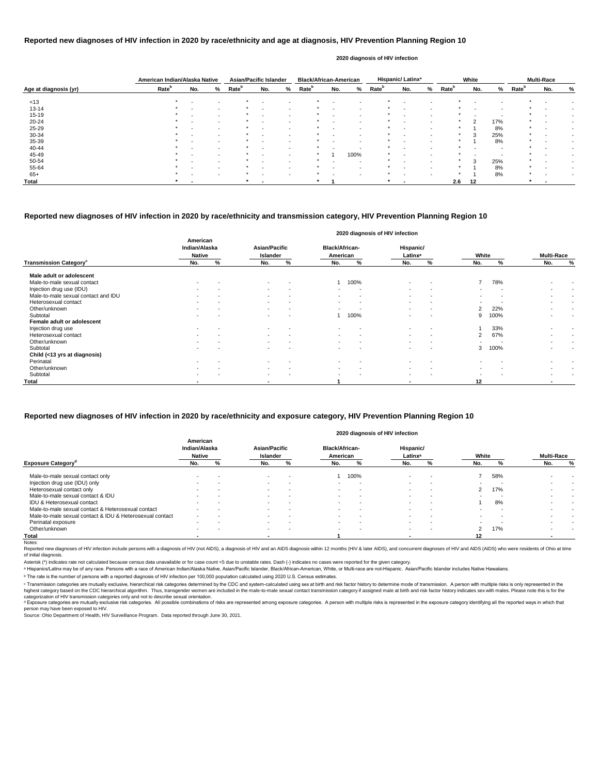|                       | American Indian/Alaska Native |                          |        | <b>Asian/Pacific Islander</b> |                          |   | <b>Black/African-American</b> |     |                          |                   | Hispanic/Latinx <sup>a</sup> |                          |                   | White                    |     |                   | <b>Multi-Race</b> |   |
|-----------------------|-------------------------------|--------------------------|--------|-------------------------------|--------------------------|---|-------------------------------|-----|--------------------------|-------------------|------------------------------|--------------------------|-------------------|--------------------------|-----|-------------------|-------------------|---|
| Age at diagnosis (yr) | Rate <sup>b</sup>             | No.                      | %      | Rate <sup>b</sup>             | No.                      | % | <b>Rate</b> <sup>b</sup>      | No. | %                        | Rate <sup>b</sup> | No.                          | %                        | Rate <sup>b</sup> | No.                      | %   | Rate <sup>b</sup> | No.               | % |
| < 13                  | $\star$                       | $\overline{\phantom{a}}$ |        |                               |                          |   |                               |     |                          |                   |                              |                          |                   |                          |     |                   |                   |   |
| $13 - 14$             |                               |                          | $\sim$ |                               | $\overline{\phantom{a}}$ |   |                               |     | $\overline{\phantom{a}}$ |                   |                              |                          |                   |                          |     |                   |                   |   |
| $15 - 19$             |                               | $\overline{\phantom{0}}$ | $\sim$ |                               | $\sim$                   |   |                               |     | $\overline{\phantom{a}}$ | *                 |                              |                          |                   | $\overline{\phantom{0}}$ |     |                   |                   |   |
| $20 - 24$             |                               |                          | $\sim$ |                               | $\overline{\phantom{a}}$ |   |                               |     | $\blacksquare$           | $\star$           |                              | $\overline{\phantom{0}}$ | $\star$           | $\mathcal{D}$            | 17% | $\star$           |                   |   |
| $25 - 29$             |                               | $\overline{\phantom{0}}$ |        |                               | $\overline{\phantom{a}}$ |   |                               |     |                          |                   |                              |                          |                   |                          | 8%  | $\star$           |                   |   |
| 30-34                 |                               |                          | $\sim$ |                               | $\overline{\phantom{a}}$ |   |                               |     | $\overline{\phantom{a}}$ |                   |                              |                          |                   | 3                        | 25% | $\star$           |                   |   |
| 35-39                 |                               | $\overline{\phantom{0}}$ | $\sim$ |                               | $\overline{\phantom{a}}$ |   |                               |     | $\overline{\phantom{a}}$ | *                 |                              |                          |                   |                          | 8%  | $\star$           |                   |   |
| 40-44                 |                               |                          | $\sim$ |                               |                          |   |                               |     |                          | $\star$           |                              |                          |                   |                          |     | $\star$           |                   |   |
| 45-49                 |                               | $\overline{\phantom{a}}$ |        |                               | $\sim$                   |   |                               |     | 100%                     | *                 |                              |                          |                   |                          |     |                   |                   |   |
| 50-54                 |                               |                          | $\sim$ |                               |                          |   |                               |     | . .                      |                   |                              |                          |                   | 3                        | 25% | $\star$           |                   |   |
| 55-64                 |                               |                          | $\sim$ |                               | $\overline{\phantom{a}}$ |   |                               |     | $\overline{\phantom{a}}$ |                   |                              |                          |                   |                          | 8%  | $\star$           |                   |   |
| $65+$                 |                               |                          |        |                               |                          |   |                               |     |                          | $\star$           |                              |                          |                   |                          | 8%  | $\star$           |                   |   |
| Total                 |                               | -                        |        |                               |                          |   |                               |     |                          |                   |                              |                          | 2.6               | 12                       |     |                   |                   |   |

Reported new diagnoses of HIV infection include persons with a diagnosis of HIV (not AIDS), a diagnosis of HIV and an AIDS diagnosis within 12 months (HIV & later AIDS), and concurrent diagnoses of HIV and AIDS (AIDS) who of initial diagnosis.

|                                           |                                            |   |                                  |                          |                                   |                          | 2020 diagnosis of HIV infection  |                          |                |      |                          |           |
|-------------------------------------------|--------------------------------------------|---|----------------------------------|--------------------------|-----------------------------------|--------------------------|----------------------------------|--------------------------|----------------|------|--------------------------|-----------|
|                                           | American<br>Indian/Alaska<br><b>Native</b> |   | <b>Asian/Pacific</b><br>Islander |                          | <b>Black/African-</b><br>American |                          | Hispanic/<br>Latinx <sup>a</sup> |                          | White          |      | <b>Multi-Race</b>        |           |
| <b>Transmission Category</b> <sup>c</sup> | No.                                        | % | No.                              | %                        | No.                               | %                        | No.                              | %                        | No.            | %    | No.                      | $\%$      |
| Male adult or adolescent                  |                                            |   |                                  |                          |                                   |                          |                                  |                          |                |      |                          |           |
| Male-to-male sexual contact               | $\,$ $\,$                                  |   | $\sim$                           | $\overline{\phantom{a}}$ |                                   | 100%                     | $\overline{\phantom{a}}$         | $\overline{\phantom{a}}$ | 7              | 78%  |                          |           |
| Injection drug use (IDU)                  |                                            |   | $\sim$                           | $\overline{\phantom{a}}$ | $\blacksquare$                    | . .                      | $\blacksquare$                   | $\blacksquare$           |                |      |                          |           |
| Male-to-male sexual contact and IDU       | $\blacksquare$                             |   | $\sim$                           | $\overline{\phantom{a}}$ | $\sim$                            | $\overline{\phantom{a}}$ | $\blacksquare$                   | $\blacksquare$           | $\sim$         |      | $\,$ $\,$                | $\,$ $\,$ |
| Heterosexual contact                      |                                            |   | <b>Section</b>                   | $\overline{\phantom{a}}$ | $\blacksquare$                    | . .                      | $\blacksquare$                   | $\qquad \qquad$          |                |      |                          |           |
| Other/unknown                             |                                            |   | $\sim$                           | $\overline{\phantom{0}}$ |                                   |                          |                                  | $\overline{a}$           | $\overline{2}$ | 22%  | $\overline{\phantom{0}}$ |           |
| Subtotal                                  | $\overline{\phantom{0}}$                   |   | $\sim$                           | $\overline{a}$           |                                   | 100%                     | $\overline{\phantom{0}}$         | $\sim$                   | 9              | 100% | $\sim$                   |           |
| Female adult or adolescent                |                                            |   |                                  |                          |                                   |                          |                                  |                          |                |      |                          |           |
| Injection drug use                        |                                            |   |                                  |                          |                                   |                          |                                  |                          |                | 33%  |                          |           |
| Heterosexual contact                      |                                            |   | $\sim$                           | $\overline{\phantom{a}}$ | $\blacksquare$                    | $\overline{\phantom{a}}$ | $\blacksquare$                   | $\qquad \qquad$          | $\overline{2}$ | 67%  |                          |           |
| Other/unknown                             |                                            |   | $\sim$                           | $\overline{\phantom{a}}$ | $\blacksquare$                    | $\overline{\phantom{a}}$ |                                  | $\overline{\phantom{a}}$ |                |      | $\blacksquare$           |           |
| Subtotal                                  |                                            |   | $\sim$                           |                          | $\sim$                            |                          | $\overline{\phantom{a}}$         | $\overline{\phantom{a}}$ | 3              | 100% | $\sim$                   |           |
| Child (<13 yrs at diagnosis)              |                                            |   |                                  |                          |                                   |                          |                                  |                          |                |      |                          |           |
| Perinatal                                 |                                            |   |                                  |                          |                                   |                          |                                  |                          |                |      |                          |           |
| Other/unknown                             | $\overline{\phantom{a}}$                   |   | $\sim$                           | $\overline{\phantom{a}}$ | $\sim$                            | $\overline{\phantom{a}}$ | $\blacksquare$                   | $\qquad \qquad$          | $\sim$         | ٠    | $\blacksquare$           |           |
| Subtotal                                  |                                            |   | $\sim$                           |                          | $\blacksquare$                    |                          | $\blacksquare$                   | $\overline{\phantom{0}}$ | . .            |      |                          |           |
| <b>Total</b>                              |                                            |   | $\overline{\phantom{a}}$         |                          |                                   |                          |                                  |                          | 12             |      | $\blacksquare$           |           |

© Transmission categories are mutually exclusive, hierarchical risk categories determined by the CDC and system-calculated using sex at birth and risk factor history to determine mode of transmission. A person with multip highest category based on the CDC hierarchical algorithm. Thus, transgender women are included in the male-to-male sexual contact transmission category if assigned male at birth and risk factor history indicates sex with m categorization of HIV transmission categories only and not to describe sexual orientation.

#### **Reported new diagnoses of HIV infection in 2020 by race/ethnicity and age at diagnosis, HIV Prevention Planning Region 10**

#### **2020 diagnosis of HIV infection**

d Exposure categories are mutually exclusive risk categories. All possible combinations of risks are represented among exposure categories. A person with multiple risks is represented in the exposure category identifying a person may have been exposed to HIV.

Source: Ohio Department of Health, HIV Surveillance Program. Data reported through June 30, 2021.

#### **Reported new diagnoses of HIV infection in 2020 by race/ethnicity and transmission category, HIV Prevention Planning Region 10**

|                                                          |                                            |     |                                  |                          |                                   |                          | 2020 diagnosis of HIV infection  |                          |                |     |                          |        |
|----------------------------------------------------------|--------------------------------------------|-----|----------------------------------|--------------------------|-----------------------------------|--------------------------|----------------------------------|--------------------------|----------------|-----|--------------------------|--------|
|                                                          | American<br>Indian/Alaska<br><b>Native</b> |     | <b>Asian/Pacific</b><br>Islander |                          | <b>Black/African-</b><br>American |                          | Hispanic/<br>Latinx <sup>a</sup> |                          | White          |     | <b>Multi-Race</b>        |        |
| <b>Exposure Category</b> <sup>o</sup>                    | No.                                        | %   | No.                              | %                        | No.                               | %                        | No.                              | %                        | No.            |     | No.                      | %      |
| Male-to-male sexual contact only                         |                                            |     | $\sim$                           |                          |                                   | 100%                     | $\,$ $\,$                        | $\overline{\phantom{a}}$ |                | 58% |                          |        |
| Injection drug use (IDU) only                            | $\sim$                                     |     | $\sim$                           | $\sim$                   |                                   |                          | $\overline{\phantom{0}}$         | $\sim$                   |                |     |                          |        |
| Heterosexual contact only                                | $\,$                                       |     | $\sim$                           | $\,$ $\,$                | $\sim$                            | $\overline{\phantom{a}}$ | $\blacksquare$                   |                          | 2              | 17% |                          |        |
| Male-to-male sexual contact & IDU                        | $\sim$                                     |     | $\sim$                           | $\overline{\phantom{a}}$ | $\sim$                            | $\overline{\phantom{a}}$ | $\blacksquare$                   |                          |                |     |                          |        |
| IDU & Heterosexual contact                               | $\overline{\phantom{0}}$                   |     | $\sim$                           | $\overline{\phantom{0}}$ | $\sim$                            | . .                      | $\blacksquare$                   |                          |                | 8%  | $\overline{\phantom{a}}$ | $\sim$ |
| Male-to-male sexual contact & Heterosexual contact       |                                            |     | $\sim$                           |                          |                                   |                          | $\overline{\phantom{0}}$         |                          |                |     |                          |        |
| Male-to-male sexual contact & IDU & Heterosexual contact | $\sim$                                     |     |                                  | . .                      |                                   |                          | $\overline{\phantom{0}}$         |                          |                |     |                          |        |
| Perinatal exposure                                       | $\sim$                                     | . . | $\sim$                           | $\sim$                   | $\sim$                            | $\overline{\phantom{a}}$ | $\sim$                           | $\overline{\phantom{a}}$ | $\sim$         |     |                          | $\sim$ |
| Other/unknown                                            | $\sim$                                     |     | $\sim$                           | . .                      | $\sim$                            | $\overline{\phantom{a}}$ | $\sim$                           |                          | $\overline{2}$ | 17% |                          |        |
| Total                                                    |                                            |     |                                  |                          |                                   |                          |                                  |                          | 12             |     |                          |        |
| Notes:                                                   |                                            |     |                                  |                          |                                   |                          |                                  |                          |                |     |                          |        |

#### **Reported new diagnoses of HIV infection in 2020 by race/ethnicity and exposure category, HIV Prevention Planning Region 10**

Asterisk (\*) indicates rate not calculated because census data unavailable or for case count <5 due to unstable rates. Dash (-) indicates no cases were reported for the given category.

a Hispanics/Latinx may be of any race. Persons with a race of American Indian/Alaska Native, Asian/Pacific Islander, Black/African-American, White, or Multi-race are not-Hispanic. Asian/Pacific Islander includes Native Haw

ᵇ The rate is the number of persons with a reported diagnosis of HIV infection per 100,000 population calculated using 2020 U.S. Census estimates.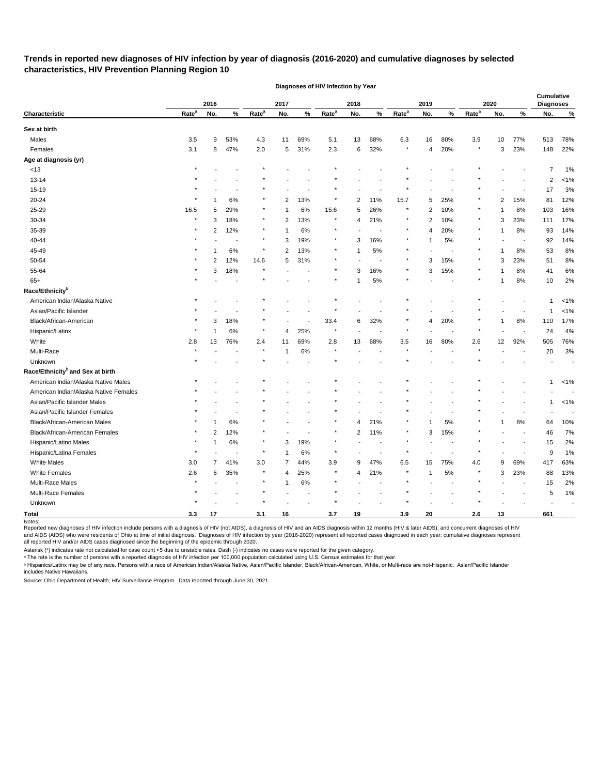## **Trends in reported new diagnoses of HIV infection by year of diagnosis (2016-2020) and cumulative diagnoses by selected characteristics, HIV Prevention Planning Region 10**

|                                              |                   | 2016           |        |                   | 2017           |                |                   | 2018           |      |                   | 2019           |                          |                   | 2020 |                          | <b>Cumulative</b><br><b>Diagnoses</b> |         |
|----------------------------------------------|-------------------|----------------|--------|-------------------|----------------|----------------|-------------------|----------------|------|-------------------|----------------|--------------------------|-------------------|------|--------------------------|---------------------------------------|---------|
| Characteristic                               | Rate <sup>a</sup> | No.            | $\%$   | Rate <sup>a</sup> | No.            | $\%$           | Rate <sup>a</sup> | No.            | $\%$ | Rate <sup>a</sup> | No.            | $\%$                     | Rate <sup>a</sup> | No.  | %                        | No.                                   | $\%$    |
| Sex at birth                                 |                   |                |        |                   |                |                |                   |                |      |                   |                |                          |                   |      |                          |                                       |         |
| Males                                        | 3.5               | 9              | 53%    | 4.3               | 11             | 69%            | 5.1               | 13             | 68%  | 6.3               | 16             | 80%                      | 3.9               | 10   | 77%                      | 513                                   | 78%     |
| Females                                      | 3.1               | 8              | 47%    | $2.0\,$           | 5              | 31%            | 2.3               | 6              | 32%  | $\star$           | 4              | 20%                      | $\star$           | 3    | 23%                      | 148                                   | 22%     |
| Age at diagnosis (yr)                        |                   |                |        |                   |                |                |                   |                |      |                   |                |                          |                   |      |                          |                                       |         |
| <13                                          |                   |                |        |                   |                |                |                   |                |      |                   |                |                          |                   |      |                          | 7                                     | 1%      |
| 13-14                                        |                   |                |        |                   |                |                |                   |                |      |                   |                |                          |                   |      |                          | 2                                     | $< 1\%$ |
| 15-19                                        |                   |                |        |                   |                |                |                   |                |      |                   |                |                          |                   |      |                          | 17                                    | 3%      |
| 20-24                                        |                   |                | 6%     |                   | $\overline{2}$ | 13%            | $\ast$            | 2              | 11%  | 15.7              | 5              | 25%                      |                   | 2    | 15%                      | 81                                    | 12%     |
| 25-29                                        | 16.5              | 5              | 29%    | $\star$           | -1             | 6%             | 15.6              | 5              | 26%  | $\star$           | $\overline{2}$ | 10%                      |                   | -1   | 8%                       | 103                                   | 16%     |
| 30-34                                        | $\star$           | 3              | 18%    | $\star$           | $\overline{2}$ | 13%            | $\star$           | 4              | 21%  |                   | 2              | 10%                      |                   | 3    | 23%                      | 111                                   | 17%     |
| 35-39                                        |                   | 2              | 12%    | $\star$           | -1             | 6%             | $\star$           |                |      |                   | 4              | 20%                      |                   |      | 8%                       | 93                                    | 14%     |
| 40-44                                        |                   |                |        | $\star$           | 3              | 19%            | $^\ast$           | 3              | 16%  |                   | 1              | 5%                       |                   |      | $\overline{\phantom{a}}$ | 92                                    | 14%     |
| 45-49                                        |                   |                | 6%     | $\star$           | $\overline{2}$ | 13%            |                   |                | 5%   | $\ast$            |                | $\overline{\phantom{a}}$ |                   | 1    | 8%                       | 53                                    | 8%      |
| 50-54                                        |                   | 2              | 12%    | 14.6              | 5              | 31%            |                   |                |      | $\star$           | 3              | 15%                      | $\ast$            | 3    | 23%                      | 51                                    | $8%$    |
| 55-64                                        |                   | 3              | 18%    | $\star$           |                |                |                   | 3              | 16%  | $\star$           | 3              | 15%                      |                   |      | 8%                       | 41                                    | $6\%$   |
| $65+$                                        |                   |                |        |                   |                |                |                   |                | $5%$ |                   |                |                          |                   | -1   | 8%                       | 10                                    | 2%      |
| Race/Ethnicity <sup>b</sup>                  |                   |                |        |                   |                |                |                   |                |      |                   |                |                          |                   |      |                          |                                       |         |
| American Indian/Alaska Native                |                   |                |        |                   |                |                |                   |                |      |                   |                |                          |                   |      |                          | 1                                     | 1%      |
| Asian/Pacific Islander                       |                   |                |        |                   |                |                |                   |                |      |                   |                |                          |                   |      |                          | 1                                     | $< 1\%$ |
| Black/African-American                       |                   | 3              | 18%    |                   |                |                | 33.4              | 6              | 32%  |                   | $\overline{4}$ | 20%                      |                   | 1    | 8%                       | 110                                   | 17%     |
| Hispanic/Latinx                              |                   |                | 6%     | $\star$           | $\overline{4}$ | 25%            |                   |                |      |                   |                |                          |                   |      |                          | 24                                    | 4%      |
| White                                        | 2.8               | 13             | 76%    | 2.4               | 11             | 69%            | 2.8               | 13             | 68%  | 3.5               | 16             | 80%                      | 2.6               | 12   | 92%                      | 505                                   | 76%     |
| Multi-Race                                   |                   |                |        | $\star$           | -1             | 6%             | $\star$           |                |      |                   |                |                          |                   |      |                          | 20                                    | 3%      |
| Unknown                                      |                   |                |        |                   |                |                |                   |                |      |                   |                |                          |                   |      |                          |                                       |         |
| Race/Ethnicity <sup>b</sup> and Sex at birth |                   |                |        |                   |                |                |                   |                |      |                   |                |                          |                   |      |                          |                                       |         |
| American Indian/Alaska Native Males          |                   |                |        |                   |                |                |                   |                |      |                   |                |                          |                   |      |                          | 1                                     | $< 1\%$ |
| American Indian/Alaska Native Females        |                   |                |        |                   |                |                |                   |                |      |                   |                |                          |                   |      |                          |                                       |         |
| Asian/Pacific Islander Males                 |                   |                |        |                   |                |                |                   |                |      |                   |                |                          |                   |      |                          | 1                                     | $< 1\%$ |
| Asian/Pacific Islander Females               |                   |                |        |                   |                |                |                   |                |      |                   |                |                          |                   |      |                          |                                       |         |
| Black/African-American Males                 |                   |                | 6%     |                   |                |                |                   | 4              | 21%  |                   | 1              | 5%                       |                   |      | 8%                       | 64                                    | 10%     |
| Black/African-American Females               |                   | っ              | 12%    |                   |                |                |                   | $\overline{2}$ | 11%  | $\star$           | 3              | 15%                      |                   |      |                          | 46                                    | 7%      |
| Hispanic/Latino Males                        | $\star$           | 1              | $6\%$  | $\star$           | 3              | 19%            |                   |                |      |                   |                |                          |                   |      |                          | 15                                    | 2%      |
| Hispanic/Latina Females                      | $\star$           |                | $\sim$ | $\star$           | -1             | $6\%$          | $\star$           |                |      | $\star$           |                |                          |                   |      |                          | 9                                     | 1%      |
| White Males                                  | $3.0\,$           | $\overline{7}$ | 41%    | $3.0\,$           | $\overline{7}$ | 44%            | $3.9\,$           | 9              | 47%  | $6.5\,$           | 15             | 75%                      | 4.0               | 9    | 69%                      | 417                                   | 63%     |
| <b>White Females</b>                         | 2.6               | 6              | 35%    | $\star$           | $\overline{4}$ | 25%            | $\ast$            | 4              | 21%  |                   | $\mathbf{1}$   | $5\%$                    |                   | 3    | 23%                      | 88                                    | 13%     |
| Multi-Race Males                             |                   |                |        |                   | $\mathbf 1$    | $6\%$          |                   |                |      |                   |                |                          |                   |      | $\sim$                   | 15                                    | 2%      |
| Multi-Race Females                           |                   |                |        | $\star$           |                | $\blacksquare$ |                   |                |      |                   |                |                          |                   |      |                          | 5                                     | 1%      |
| Unknown                                      |                   |                |        | $\star$           |                |                |                   |                |      |                   |                |                          |                   |      |                          |                                       |         |
| <b>Total</b>                                 | 3.3               | 17             |        | 3.1               | 16             |                | 3.7               | 19             |      | 3.9               | 20             |                          | 2.6               | 13   |                          | 661                                   |         |
| Notes:                                       |                   |                |        |                   |                |                |                   |                |      |                   |                |                          |                   |      |                          |                                       |         |

**Diagnoses of HIV Infection by Year**

Reported new diagnoses of HIV infection include persons with a diagnosis of HIV (not AIDS), a diagnosis of HIV and an AIDS diagnosis within 12 months (HIV & later AIDS), and concurrent diagnoses of HIV and AIDS (AIDS) who were residents of Ohio at time of initial diagnosis. Diagnoses of HIV infection by year (2016-2020) represent all reported cases diagnosed in each year; cumulative diagnoses represent all reported HIV and/or AIDS cases diagnosed since the beginning of the epidemic through 2020.

Asterisk (\*) indicates rate not calculated for case count <5 due to unstable rates. Dash (-) indicates no cases were reported for the given category.

 $\,{}^{\rm a}$  The rate is the number of persons with a reported diagnosis of HIV infection per 100,000 population calculated using U.S. Census estimates for that year.

ᵇ Hispanics/Latinx may be of any race. Persons with a race of American Indian/Alaska Native, Asian/Pacific Islander, Black/African-American, White, or Multi-race are not-Hispanic. Asian/Pacific Islander includes Native Hawaiians.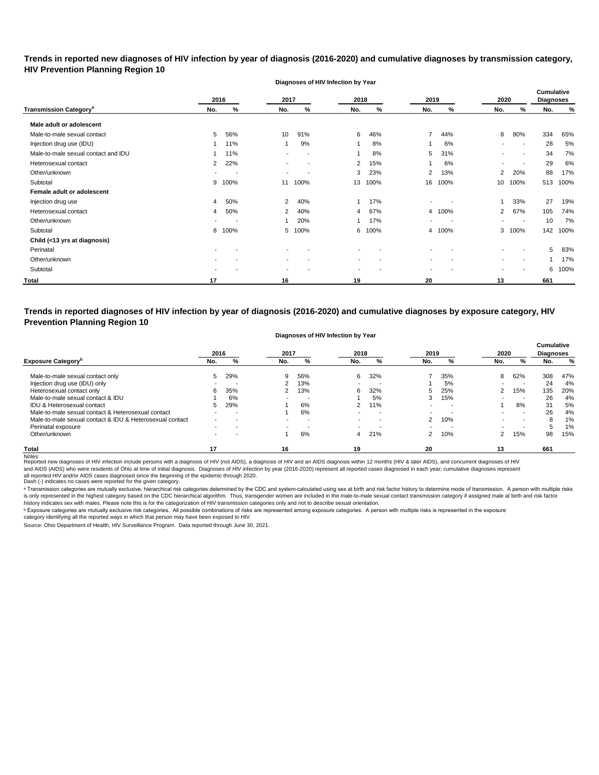## **Trends in reported new diagnoses of HIV infection by year of diagnosis (2016-2020) and cumulative diagnoses by transmission category, HIV Prevention Planning Region 10**

**Diagnoses of HIV Infection by Year**

|                                          |                | 2016                     | 2017                     |      | 2018                     |      | 2019           |      | 2020                     |                          | Cumulative<br><b>Diagnoses</b> |      |
|------------------------------------------|----------------|--------------------------|--------------------------|------|--------------------------|------|----------------|------|--------------------------|--------------------------|--------------------------------|------|
| <b>Transmission Category<sup>a</sup></b> | No.            | %                        | No.                      | %    | No.                      | %    | No.            | %    | No.                      | %                        | No.                            | %    |
| Male adult or adolescent                 |                |                          |                          |      |                          |      |                |      |                          |                          |                                |      |
| Male-to-male sexual contact              | 5              | 56%                      | 10                       | 91%  | 6                        | 46%  | $\overline{7}$ | 44%  | 8                        | 80%                      | 334                            | 65%  |
| Injection drug use (IDU)                 |                | 11%                      | 1                        | 9%   |                          | 8%   |                | 6%   | $\blacksquare$           | $\sim$                   | 28                             | 5%   |
| Male-to-male sexual contact and IDU      |                | 11%                      |                          |      |                          | 8%   | 5              | 31%  |                          | ٠                        | 34                             | 7%   |
| Heterosexual contact                     | $\overline{2}$ | 22%                      |                          |      | 2                        | 15%  |                | 6%   | $\overline{\phantom{a}}$ | $\overline{\phantom{a}}$ | 29                             | 6%   |
| Other/unknown                            | $\sim$         | $\overline{\phantom{a}}$ | $\overline{\phantom{a}}$ |      | 3                        | 23%  | 2              | 13%  | $\overline{2}$           | 20%                      | 88                             | 17%  |
| Subtotal                                 | 9              | 100%                     | 11                       | 100% | 13                       | 100% | 16             | 100% | 10                       | 100%                     | 513                            | 100% |
| Female adult or adolescent               |                |                          |                          |      |                          |      |                |      |                          |                          |                                |      |
| Injection drug use                       | 4              | 50%                      | 2                        | 40%  |                          | 17%  | ۰              |      |                          | 33%                      | 27                             | 19%  |
| Heterosexual contact                     | 4              | 50%                      | 2                        | 40%  | 4                        | 67%  | 4              | 100% | $\overline{2}$           | 67%                      | 105                            | 74%  |
| Other/unknown                            |                |                          | $\overline{ }$           | 20%  |                          | 17%  | ۰              |      | $\blacksquare$           | $\sim$                   | 10                             | 7%   |
| Subtotal                                 | 8              | 100%                     | 5                        | 100% | 6                        | 100% | 4              | 100% |                          | 3 100%                   | 142                            | 100% |
| Child (<13 yrs at diagnosis)             |                |                          |                          |      |                          |      |                |      |                          |                          |                                |      |
| Perinatal                                |                |                          |                          |      |                          |      |                |      |                          |                          | 5                              | 83%  |
| Other/unknown                            |                |                          |                          |      | $\overline{\phantom{0}}$ |      | ۰.             |      | ۰.                       | $\overline{\phantom{a}}$ |                                | 17%  |
| Subtotal                                 |                |                          |                          |      |                          |      |                |      |                          |                          | 6                              | 100% |
| <b>Total</b>                             | 17             |                          | 16                       |      | 19                       |      | 20             |      | 13                       |                          | 661                            |      |

**Trends in reported diagnoses of HIV infection by year of diagnosis (2016-2020) and cumulative diagnoses by exposure category, HIV Prevention Planning Region 10**

#### **Diagnoses of HIV Infection by Year**

|                                                          | 2016 |     | 2017                     |                          | 2018           |     | 2019 |     | 2020 |     | <b>Cumulative</b><br><b>Diagnoses</b> |     |
|----------------------------------------------------------|------|-----|--------------------------|--------------------------|----------------|-----|------|-----|------|-----|---------------------------------------|-----|
| <b>Exposure Category</b> <sup>p</sup>                    | No.  | %   | No.                      | %                        | No.            | %   | No.  | %   | No.  | %   | No.                                   | %   |
| Male-to-male sexual contact only                         | 5.   | 29% | 9                        | 56%                      | 6              | 32% |      | 35% | 8    | 62% | 308                                   | 47% |
| Injection drug use (IDU) only                            |      |     |                          | 13%                      | $\blacksquare$ | -   |      | 5%  |      |     | 24                                    | 4%  |
| Heterosexual contact only                                | 6    | 35% |                          | 13%                      | 6              | 32% | 5.   | 25% | 2    | 15% | 135                                   | 20% |
| Male-to-male sexual contact & IDU                        |      | 6%  | -                        | $\overline{\phantom{a}}$ |                | 5%  | 3    | 15% |      |     | 26                                    | 4%  |
| IDU & Heterosexual contact                               |      | 29% |                          | 6%                       | 2              | 11% | -    | . . |      | 8%  | 31                                    | 5%  |
| Male-to-male sexual contact & Heterosexual contact       |      |     |                          | 6%                       | $\blacksquare$ | -   |      |     |      | . . | 26                                    | 4%  |
| Male-to-male sexual contact & IDU & Heterosexual contact |      |     |                          | . .                      |                |     | 2    | 10% |      |     |                                       | 1%  |
| Perinatal exposure                                       |      |     | $\overline{\phantom{0}}$ |                          |                |     |      |     |      |     |                                       | 1%  |
| Other/unknown                                            |      |     |                          | 6%                       | 4              | 21% | 2    | 10% |      | 15% | 98                                    | 15% |
| <b>Total</b>                                             | 17   |     | 16                       |                          | 19             |     | 20   |     | 13   |     | 661                                   |     |

Notes:<br>Reported new diagnoses of HIV infection include persons with a diagnosis of HIV (not AIDS), a diagnosis of HIV and an AIDS diagnosis within 12 months (HIV & later AIDS), and concurrent diagnoses of HIV and AIDS (AIDS) who were residents of Ohio at time of initial diagnosis. Diagnoses of HIV infection by year (2016-2020) represent all reported cases diagnosed in each year; cumulative diagnoses represent

all reported HIV and/or AIDS cases diagnosed since the beginning of the epidemic through 2020.<br>Dash (-) indicates no cases were reported for the given category.

a Transmission categories are mutually exclusive, hierarchical risk categories determined by the CDC and system-calculated using sex at birth and risk factor history to determine mode of transmission. A person with multipl is only represented in the highest category based on the CDC hierarchical algorithm. Thus, transgender women are included in the male-to-male sexual contact transmission category if assigned male at birth and risk factor history indicates sex with males. Please note this is for the categorization of HIV transmission categories only and not to describe sexual orientation.

 $^{\rm b}$  Exposure categories are mutually exclusive risk categories. All possible combinations of risks are represented among exposure categories. A person with multiple risks is represented in the exposure

category identifying all the reported ways in which that person may have been exposed to HIV.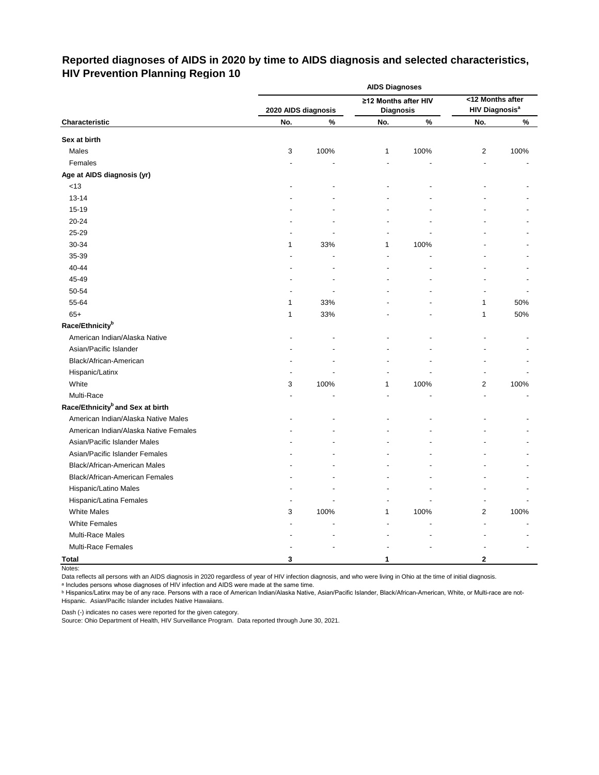# **Reported diagnoses of AIDS in 2020 by time to AIDS diagnosis and selected characteristics, HIV Prevention Planning Region 10**

|                                              | <b>AIDS Diagnoses</b>      |      |                         |      |                                                      |      |  |  |  |  |
|----------------------------------------------|----------------------------|------|-------------------------|------|------------------------------------------------------|------|--|--|--|--|
|                                              |                            |      | ≥12 Months after HIV    |      | <12 Months after<br><b>HIV Diagnosis<sup>a</sup></b> |      |  |  |  |  |
| Characteristic                               | 2020 AIDS diagnosis<br>No. | $\%$ | <b>Diagnosis</b><br>No. | $\%$ | No.                                                  | $\%$ |  |  |  |  |
|                                              |                            |      |                         |      |                                                      |      |  |  |  |  |
| Sex at birth                                 |                            |      |                         |      |                                                      |      |  |  |  |  |
| Males                                        | 3                          | 100% | 1                       | 100% | $\overline{c}$                                       | 100% |  |  |  |  |
| Females                                      | ÷.                         |      | $\blacksquare$          | ä,   |                                                      |      |  |  |  |  |
| Age at AIDS diagnosis (yr)                   |                            |      |                         |      |                                                      |      |  |  |  |  |
| $<13$                                        |                            |      |                         |      |                                                      |      |  |  |  |  |
| $13 - 14$                                    |                            |      |                         |      |                                                      |      |  |  |  |  |
| 15-19                                        |                            |      |                         |      |                                                      |      |  |  |  |  |
| 20-24                                        |                            |      |                         |      |                                                      |      |  |  |  |  |
| 25-29                                        |                            |      |                         |      |                                                      |      |  |  |  |  |
| 30-34                                        | 1                          | 33%  | 1                       | 100% |                                                      |      |  |  |  |  |
| 35-39                                        |                            |      |                         |      |                                                      |      |  |  |  |  |
| 40-44                                        |                            |      |                         |      |                                                      |      |  |  |  |  |
| 45-49                                        |                            |      |                         |      |                                                      |      |  |  |  |  |
| 50-54                                        |                            |      |                         |      |                                                      |      |  |  |  |  |
| 55-64                                        | 1                          | 33%  |                         |      | 1                                                    | 50%  |  |  |  |  |
| $65+$                                        | 1                          | 33%  |                         |      | 1                                                    | 50%  |  |  |  |  |
| Race/Ethnicity <sup>b</sup>                  |                            |      |                         |      |                                                      |      |  |  |  |  |
| American Indian/Alaska Native                |                            |      |                         |      |                                                      |      |  |  |  |  |
| Asian/Pacific Islander                       |                            |      |                         |      |                                                      |      |  |  |  |  |
| Black/African-American                       |                            |      |                         |      |                                                      |      |  |  |  |  |
| Hispanic/Latinx                              |                            |      |                         |      |                                                      |      |  |  |  |  |
| White                                        | 3                          | 100% | 1                       | 100% | 2                                                    | 100% |  |  |  |  |
| Multi-Race                                   |                            |      |                         |      |                                                      |      |  |  |  |  |
| Race/Ethnicity <sup>b</sup> and Sex at birth |                            |      |                         |      |                                                      |      |  |  |  |  |
| American Indian/Alaska Native Males          |                            |      |                         |      |                                                      |      |  |  |  |  |
| American Indian/Alaska Native Females        |                            |      |                         |      |                                                      |      |  |  |  |  |
| Asian/Pacific Islander Males                 |                            |      |                         |      |                                                      |      |  |  |  |  |
| Asian/Pacific Islander Females               |                            |      |                         |      |                                                      |      |  |  |  |  |
| Black/African-American Males                 |                            |      |                         |      |                                                      |      |  |  |  |  |
| Black/African-American Females               |                            |      |                         |      |                                                      |      |  |  |  |  |
| Hispanic/Latino Males                        |                            |      |                         |      |                                                      |      |  |  |  |  |
| Hispanic/Latina Females                      |                            |      |                         |      |                                                      |      |  |  |  |  |
| <b>White Males</b>                           | 3                          | 100% | 1                       | 100% | 2                                                    | 100% |  |  |  |  |
| <b>White Females</b>                         |                            |      |                         |      |                                                      |      |  |  |  |  |
| Multi-Race Males                             |                            |      |                         |      |                                                      |      |  |  |  |  |
| Multi-Race Females                           |                            |      |                         |      |                                                      |      |  |  |  |  |
| <b>Total</b>                                 | 3                          |      | 1                       |      | 2                                                    |      |  |  |  |  |

Notes:

Data reflects all persons with an AIDS diagnosis in 2020 regardless of year of HIV infection diagnosis, and who were living in Ohio at the time of initial diagnosis.

ᵃ Includes persons whose diagnoses of HIV infection and AIDS were made at the same time.

<u>b Hispanics/Latinx may be of any race. Persons with a race of American Indian/Alaska Native, Asian/Pacific Islander, Black/African-American, White, or Multi-race are not-</u> Hispanic. Asian/Pacific Islander includes Native Hawaiians.

Dash (-) indicates no cases were reported for the given category.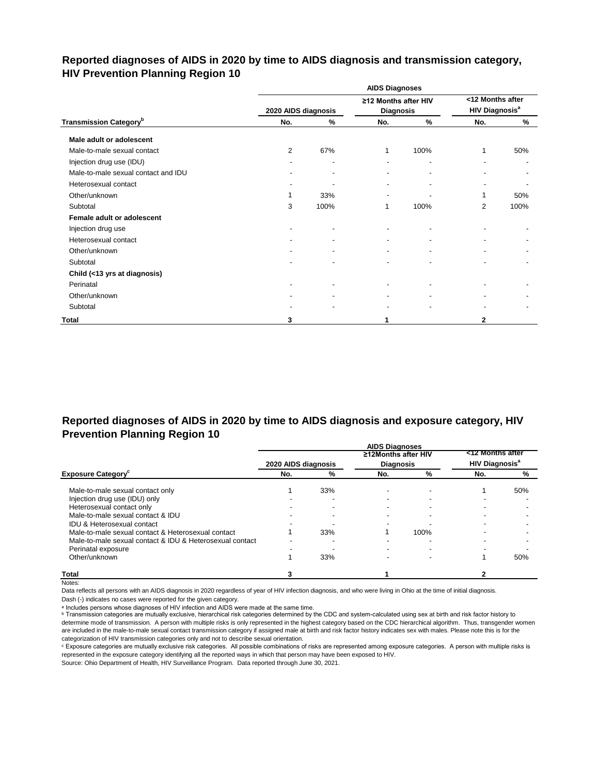## **Reported diagnoses of AIDS in 2020 by time to AIDS diagnosis and transmission category, HIV Prevention Planning Region 10**

|                                           |                     |                          | <b>AIDS Diagnoses</b>                    |      |                                                      |      |
|-------------------------------------------|---------------------|--------------------------|------------------------------------------|------|------------------------------------------------------|------|
|                                           | 2020 AIDS diagnosis |                          | ≥12 Months after HIV<br><b>Diagnosis</b> |      | <12 Months after<br><b>HIV Diagnosis<sup>a</sup></b> |      |
| <b>Transmission Category</b> <sup>b</sup> | No.                 | %                        | No.                                      | $\%$ | No.                                                  | %    |
| Male adult or adolescent                  |                     |                          |                                          |      |                                                      |      |
| Male-to-male sexual contact               | $\overline{2}$      | 67%                      | 1                                        | 100% | 1                                                    | 50%  |
| Injection drug use (IDU)                  |                     | ٠                        | $\blacksquare$                           |      |                                                      |      |
| Male-to-male sexual contact and IDU       |                     | $\overline{\phantom{a}}$ |                                          |      |                                                      |      |
| Heterosexual contact                      |                     |                          |                                          |      |                                                      |      |
| Other/unknown                             |                     | 33%                      |                                          |      | 1                                                    | 50%  |
| Subtotal                                  | 3                   | 100%                     | 1                                        | 100% | 2                                                    | 100% |
| Female adult or adolescent                |                     |                          |                                          |      |                                                      |      |
| Injection drug use                        |                     |                          |                                          |      |                                                      |      |
| Heterosexual contact                      |                     |                          | ٠                                        |      |                                                      |      |
| Other/unknown                             |                     |                          |                                          |      |                                                      |      |
| Subtotal                                  |                     |                          |                                          |      |                                                      |      |
| Child (<13 yrs at diagnosis)              |                     |                          |                                          |      |                                                      |      |
| Perinatal                                 |                     | $\blacksquare$           | ۰                                        |      |                                                      |      |
| Other/unknown                             |                     |                          |                                          |      |                                                      |      |
| Subtotal                                  |                     |                          |                                          |      |                                                      |      |
| Total                                     | 3                   |                          | 1                                        |      | $\mathbf{2}$                                         |      |

## **Reported diagnoses of AIDS in 2020 by time to AIDS diagnosis and exposure category, HIV Prevention Planning Region 10**

|                                                          |                     |     | <b>AIDS Diagnoses</b> |      |                                  |     |
|----------------------------------------------------------|---------------------|-----|-----------------------|------|----------------------------------|-----|
|                                                          |                     |     | ≥12Months after HIV   |      | <12 Months after                 |     |
|                                                          | 2020 AIDS diagnosis |     | <b>Diagnosis</b>      |      | <b>HIV Diagnosis<sup>a</sup></b> |     |
| <b>Exposure Category</b> <sup>c</sup>                    | No.                 | %   | No.                   | %    | No.                              | %   |
| Male-to-male sexual contact only                         |                     | 33% |                       |      |                                  | 50% |
| Injection drug use (IDU) only                            |                     |     |                       |      |                                  |     |
| Heterosexual contact only                                |                     |     |                       |      |                                  |     |
| Male-to-male sexual contact & IDU                        |                     |     |                       |      |                                  |     |
| <b>IDU &amp; Heterosexual contact</b>                    |                     |     |                       |      |                                  |     |
| Male-to-male sexual contact & Heterosexual contact       |                     | 33% |                       | 100% |                                  |     |
| Male-to-male sexual contact & IDU & Heterosexual contact |                     |     |                       |      |                                  |     |
| Perinatal exposure                                       |                     |     |                       |      |                                  |     |
| Other/unknown                                            |                     | 33% |                       |      |                                  | 50% |
| <b>Total</b>                                             |                     |     |                       |      |                                  |     |

Notes:

Data reflects all persons with an AIDS diagnosis in 2020 regardless of year of HIV infection diagnosis, and who were living in Ohio at the time of initial diagnosis.

Dash (-) indicates no cases were reported for the given category.

a Includes persons whose diagnoses of HIV infection and AIDS were made at the same time.

**b** Transmission categories are mutually exclusive, hierarchical risk categories determined by the CDC and system-calculated using sex at birth and risk factor history to determine mode of transmission. A person with multiple risks is only represented in the highest category based on the CDC hierarchical algorithm. Thus, transgender women are included in the male-to-male sexual contact transmission category if assigned male at birth and risk factor history indicates sex with males. Please note this is for the categorization of HIV transmission categories only and not to describe sexual orientation.

ᶜ Exposure categories are mutually exclusive risk categories. All possible combinations of risks are represented among exposure categories. A person with multiple risks is represented in the exposure category identifying all the reported ways in which that person may have been exposed to HIV.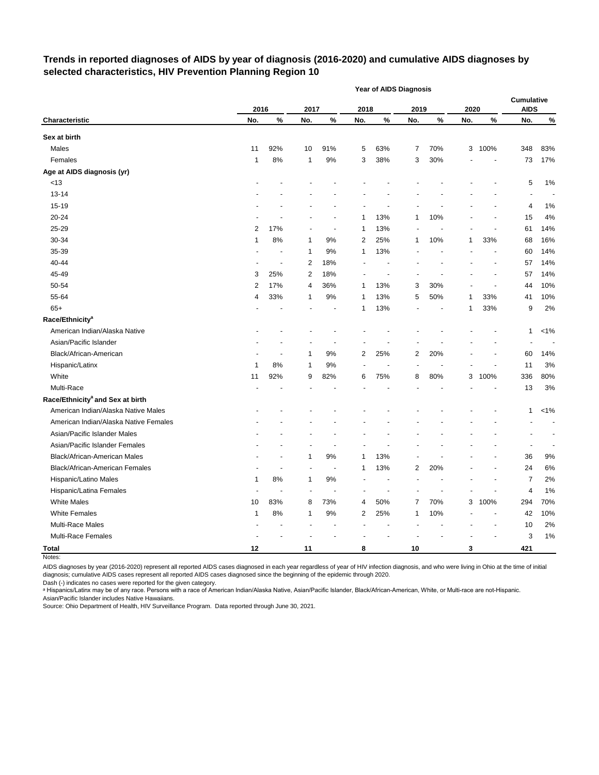#### **Trends in reported diagnoses of AIDS by year of diagnosis (2016-2020) and cumulative AIDS diagnoses by selected characteristics, HIV Prevention Planning Region 10**

|                                              |      |                |      |                |      | Year of AIDS Diagnosis   |                |      |      |        |                                  |         |
|----------------------------------------------|------|----------------|------|----------------|------|--------------------------|----------------|------|------|--------|----------------------------------|---------|
|                                              | 2016 |                | 2017 |                | 2018 |                          | 2019           |      | 2020 |        | <b>Cumulative</b><br><b>AIDS</b> |         |
| Characteristic                               | No.  | $\%$           | No.  | %              | No.  | $\%$                     | No.            | $\%$ | No.  | $\%$   | No.                              | $\%$    |
| Sex at birth                                 |      |                |      |                |      |                          |                |      |      |        |                                  |         |
| Males                                        | 11   | 92%            | 10   | 91%            | 5    | 63%                      | 7              | 70%  | 3    | 100%   | 348                              | 83%     |
| Females                                      | 1    | 8%             | 1    | 9%             | 3    | 38%                      | 3              | 30%  |      |        | 73                               | 17%     |
| Age at AIDS diagnosis (yr)                   |      |                |      |                |      |                          |                |      |      |        |                                  |         |
| < 13                                         |      |                |      |                |      |                          |                |      |      |        | 5                                | 1%      |
| $13 - 14$                                    |      |                |      |                |      |                          |                |      |      |        | ÷,                               |         |
| 15-19                                        |      |                |      |                |      |                          |                |      |      |        | 4                                | 1%      |
| 20-24                                        |      |                |      |                | 1    | 13%                      | 1              | 10%  |      |        | 15                               | 4%      |
| 25-29                                        | 2    | 17%            |      | ÷,             | 1    | 13%                      |                |      |      |        | 61                               | 14%     |
| 30-34                                        | 1    | 8%             | 1    | 9%             | 2    | 25%                      | 1              | 10%  | 1    | 33%    | 68                               | 16%     |
| 35-39                                        |      |                | 1    | 9%             | 1    | 13%                      |                |      |      |        | 60                               | 14%     |
| 40-44                                        |      | $\overline{a}$ | 2    | 18%            |      |                          |                |      |      |        | 57                               | 14%     |
| 45-49                                        | 3    | 25%            | 2    | 18%            |      | $\overline{\phantom{a}}$ |                |      |      | ÷,     | 57                               | 14%     |
| 50-54                                        | 2    | 17%            | 4    | 36%            | 1    | 13%                      | 3              | 30%  |      |        | 44                               | 10%     |
| 55-64                                        | 4    | 33%            | 1    | 9%             | 1    | 13%                      | 5              | 50%  | 1    | 33%    | 41                               | 10%     |
| $65+$                                        |      |                |      |                | 1    | 13%                      |                |      | 1    | 33%    | 9                                | 2%      |
| Race/Ethnicity <sup>a</sup>                  |      |                |      |                |      |                          |                |      |      |        |                                  |         |
| American Indian/Alaska Native                |      |                |      |                |      |                          |                |      |      |        | 1                                | $< 1\%$ |
| Asian/Pacific Islander                       |      |                |      |                |      |                          |                |      |      |        |                                  |         |
| Black/African-American                       |      |                | 1    | $9%$           | 2    | 25%                      | 2              | 20%  |      |        | 60                               | 14%     |
| Hispanic/Latinx                              | 1    | 8%             | 1    | 9%             |      |                          |                |      |      |        | 11                               | 3%      |
| White                                        | 11   | 92%            | 9    | 82%            | 6    | 75%                      | 8              | 80%  | 3    | 100%   | 336                              | 80%     |
| Multi-Race                                   |      |                |      |                |      |                          |                |      |      |        | 13                               | 3%      |
| Race/Ethnicity <sup>a</sup> and Sex at birth |      |                |      |                |      |                          |                |      |      |        |                                  |         |
| American Indian/Alaska Native Males          |      |                |      |                |      |                          |                |      |      |        | 1                                | $< 1\%$ |
| American Indian/Alaska Native Females        |      |                |      |                |      |                          |                |      |      |        |                                  |         |
| Asian/Pacific Islander Males                 |      |                |      |                |      |                          |                |      |      |        |                                  |         |
| Asian/Pacific Islander Females               |      |                |      |                |      |                          |                |      |      |        | ÷,                               |         |
| Black/African-American Males                 |      |                | 1    | 9%             | 1    | 13%                      |                |      |      |        | 36                               | 9%      |
| Black/African-American Females               |      |                |      | $\blacksquare$ | 1    | 13%                      | 2              | 20%  |      |        | 24                               | 6%      |
| Hispanic/Latino Males                        | 1    | 8%             |      | 9%             |      |                          |                |      |      |        | 7                                | 2%      |
| Hispanic/Latina Females                      | ÷,   |                |      |                |      |                          |                |      |      |        | 4                                | 1%      |
| <b>White Males</b>                           | 10   | 83%            | 8    | 73%            | 4    | 50%                      | $\overline{7}$ | 70%  |      | 3 100% | 294                              | 70%     |
| <b>White Females</b>                         | 1    | $8\%$          | 1    | $9\%$          | 2    | 25%                      | 1              | 10%  |      |        | 42                               | 10%     |
| Multi-Race Males                             |      |                |      |                |      |                          |                |      |      |        | 10                               | 2%      |
| Multi-Race Females                           |      |                |      |                |      |                          |                |      |      |        | 3                                | 1%      |
| <b>Total</b>                                 | 12   |                | 11   |                | 8    |                          | $10$           |      | 3    |        | 421                              |         |

Notes:

AIDS diagnoses by year (2016-2020) represent all reported AIDS cases diagnosed in each year regardless of year of HIV infection diagnosis, and who were living in Ohio at the time of initial diagnosis; cumulative AIDS cases represent all reported AIDS cases diagnosed since the beginning of the epidemic through 2020.

Dash (-) indicates no cases were reported for the given category.

a Hispanics/Latinx may be of any race. Persons with a race of American Indian/Alaska Native, Asian/Pacific Islander, Black/African-American, White, or Multi-race are not-Hispanic. Asian/Pacific Islander includes Native Hawaiians.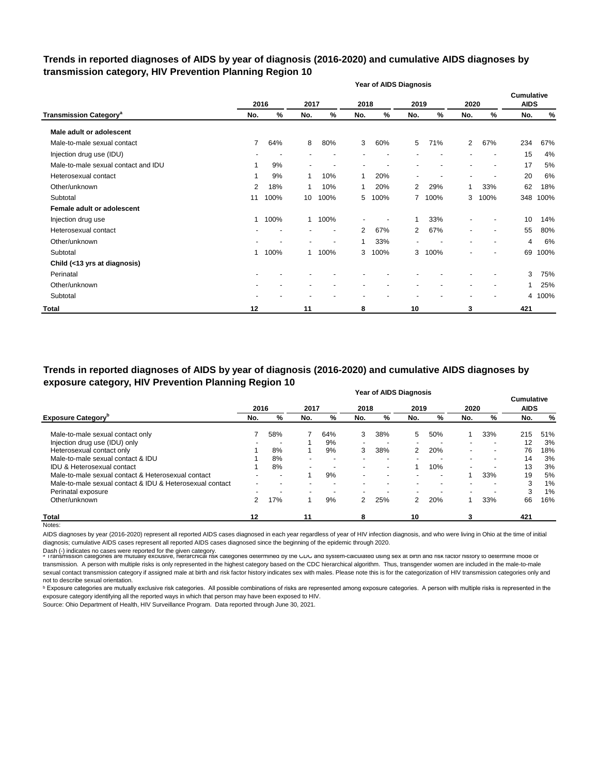#### **Trends in reported diagnoses of AIDS by year of diagnosis (2016-2020) and cumulative AIDS diagnoses by transmission category, HIV Prevention Planning Region 10**

|                                          |                |      |                          |                          |                | <b>Year of AIDS Diagnosis</b> |                          |      |                          |                          |                                  |      |
|------------------------------------------|----------------|------|--------------------------|--------------------------|----------------|-------------------------------|--------------------------|------|--------------------------|--------------------------|----------------------------------|------|
|                                          |                | 2016 | 2017                     |                          | 2018           |                               | 2019                     |      | 2020                     |                          | <b>Cumulative</b><br><b>AIDS</b> |      |
| <b>Transmission Category<sup>a</sup></b> | No.            | %    | No.                      | %                        | No.            | %                             | No.                      | %    | No.                      | %                        | No.                              | %    |
| Male adult or adolescent                 |                |      |                          |                          |                |                               |                          |      |                          |                          |                                  |      |
| Male-to-male sexual contact              | $\overline{7}$ | 64%  | 8                        | 80%                      | 3              | 60%                           | 5                        | 71%  | $\overline{2}$           | 67%                      | 234                              | 67%  |
| Injection drug use (IDU)                 |                |      |                          |                          |                |                               |                          |      |                          |                          | 15                               | 4%   |
| Male-to-male sexual contact and IDU      | 1              | 9%   | $\overline{\phantom{a}}$ |                          |                |                               |                          |      |                          |                          | 17                               | 5%   |
| Heterosexual contact                     | 1              | 9%   | 1                        | 10%                      | 1              | 20%                           | $\overline{\phantom{a}}$ |      | $\blacksquare$           |                          | 20                               | 6%   |
| Other/unknown                            | 2              | 18%  | 1                        | 10%                      | 1              | 20%                           | 2                        | 29%  | 1                        | 33%                      | 62                               | 18%  |
| Subtotal                                 | 11             | 100% | 10                       | 100%                     | 5              | 100%                          | 7                        | 100% | 3                        | 100%                     | 348                              | 100% |
| Female adult or adolescent               |                |      |                          |                          |                |                               |                          |      |                          |                          |                                  |      |
| Injection drug use                       | 1              | 100% | $\mathbf{1}$             | 100%                     |                |                               |                          | 33%  |                          |                          | 10                               | 14%  |
| Heterosexual contact                     |                |      |                          | $\overline{\phantom{a}}$ | $\overline{2}$ | 67%                           | 2                        | 67%  | $\blacksquare$           | $\overline{\phantom{a}}$ | 55                               | 80%  |
| Other/unknown                            |                |      |                          | $\overline{a}$           | 1              | 33%                           |                          |      | $\overline{\phantom{a}}$ |                          | 4                                | 6%   |
| Subtotal                                 | 1              | 100% | 1                        | 100%                     | 3              | 100%                          | 3                        | 100% |                          |                          | 69                               | 100% |
| Child (<13 yrs at diagnosis)             |                |      |                          |                          |                |                               |                          |      |                          |                          |                                  |      |
| Perinatal                                |                |      |                          |                          |                |                               |                          |      |                          |                          | 3                                | 75%  |
| Other/unknown                            |                |      |                          |                          |                |                               |                          |      | $\overline{\phantom{a}}$ |                          |                                  | 25%  |
| Subtotal                                 |                |      |                          |                          |                |                               |                          |      |                          |                          | 4                                | 100% |
| <b>Total</b>                             | 12             |      | 11                       |                          | 8              |                               | 10                       |      | 3                        |                          | 421                              |      |

**Year of AIDS Diagnosis Trends in reported diagnoses of AIDS by year of diagnosis (2016-2020) and cumulative AIDS diagnoses by exposure category, HIV Prevention Planning Region 10**

|                                                          |      |     |      |     |      | Teal Of AIDS Diagnosis   |                          |                          |                          |     | <b>Cumulative</b> |     |
|----------------------------------------------------------|------|-----|------|-----|------|--------------------------|--------------------------|--------------------------|--------------------------|-----|-------------------|-----|
|                                                          | 2016 |     | 2017 |     | 2018 |                          | 2019                     |                          | 2020                     |     | <b>AIDS</b>       |     |
| <b>Exposure Category</b> <sup>b</sup>                    | No.  | %   | No.  | %   | No.  | %                        | No.                      | %                        | No.                      | %   | No.               | %   |
| Male-to-male sexual contact only                         |      | 58% |      | 64% | 3    | 38%                      | 5                        | 50%                      |                          | 33% | 215               | 51% |
| Injection drug use (IDU) only                            |      |     |      | 9%  |      |                          | $\overline{\phantom{0}}$ |                          | $\overline{\phantom{a}}$ |     | 12                | 3%  |
| Heterosexual contact only                                |      | 8%  |      | 9%  | 3    | 38%                      | 2                        | 20%                      | $\overline{\phantom{a}}$ |     | 76                | 18% |
| Male-to-male sexual contact & IDU                        |      | 8%  |      |     |      |                          |                          |                          | $\blacksquare$           |     | 14                | 3%  |
| <b>IDU &amp; Heterosexual contact</b>                    |      | 8%  |      |     |      | $\overline{\phantom{a}}$ |                          | 10%                      | $\blacksquare$           |     | 13                | 3%  |
| Male-to-male sexual contact & Heterosexual contact       |      |     |      | 9%  |      | $\overline{\phantom{a}}$ | $\overline{\phantom{a}}$ | $\overline{\phantom{a}}$ |                          | 33% | 19                | 5%  |
| Male-to-male sexual contact & IDU & Heterosexual contact |      |     |      |     |      | $\overline{\phantom{a}}$ | $\overline{\phantom{0}}$ | ۰                        | $\overline{\phantom{a}}$ |     | 3                 | 1%  |
| Perinatal exposure                                       |      |     |      |     |      |                          |                          |                          | $\overline{\phantom{0}}$ |     | 3                 | 1%  |
| Other/unknown                                            | 2    | 17% |      | 9%  | 2    | 25%                      | 2                        | 20%                      |                          | 33% | 66                | 16% |
| Total                                                    | 12   |     | 11   |     | 8    |                          | 10                       |                          |                          |     | 421               |     |

Notes:

AIDS diagnoses by year (2016-2020) represent all reported AIDS cases diagnosed in each year regardless of year of HIV infection diagnosis, and who were living in Ohio at the time of initial diagnosis; cumulative AIDS cases represent all reported AIDS cases diagnosed since the beginning of the epidemic through 2020.

Dash (-) indicates no cases were reported for the given category.<br>◎ Transmission categories are mutually exclusive, nierarcnical risk categories determined by the CDC and system-calculated using sex at birth and risk ract transmission. A person with multiple risks is only represented in the highest category based on the CDC hierarchical algorithm. Thus, transgender women are included in the male-to-male sexual contact transmission category if assigned male at birth and risk factor history indicates sex with males. Please note this is for the categorization of HIV transmission categories only and not to describe sexual orientation.

**b** Exposure categories are mutually exclusive risk categories. All possible combinations of risks are represented among exposure categories. A person with multiple risks is represented in the exposure category identifying all the reported ways in which that person may have been exposed to HIV.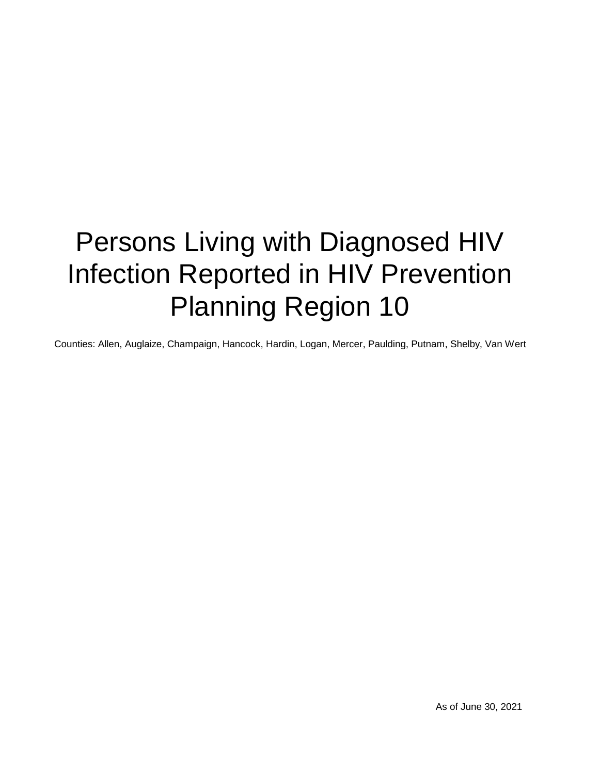# Persons Living with Diagnosed HIV Infection Reported in HIV Prevention Planning Region 10

Counties: Allen, Auglaize, Champaign, Hancock, Hardin, Logan, Mercer, Paulding, Putnam, Shelby, Van Wert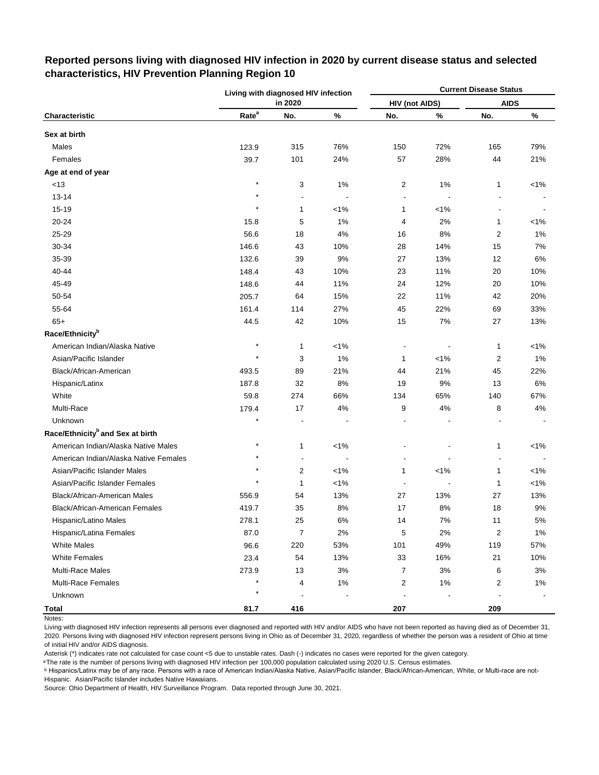|                                              |                   | Living with diagnosed HIV infection |         |                       |                | <b>Current Disease Status</b> |         |
|----------------------------------------------|-------------------|-------------------------------------|---------|-----------------------|----------------|-------------------------------|---------|
|                                              |                   | in 2020                             |         | <b>HIV (not AIDS)</b> |                | <b>AIDS</b>                   |         |
| Characteristic                               | Rate <sup>a</sup> | No.                                 | $\%$    | No.                   | $\%$           | No.                           | $\%$    |
| Sex at birth                                 |                   |                                     |         |                       |                |                               |         |
| Males                                        | 123.9             | 315                                 | 76%     | 150                   | 72%            | 165                           | 79%     |
| Females                                      | 39.7              | 101                                 | 24%     | 57                    | 28%            | 44                            | 21%     |
| Age at end of year                           |                   |                                     |         |                       |                |                               |         |
| <13                                          | $\star$           | 3                                   | 1%      | 2                     | 1%             | $\mathbf{1}$                  | $< 1\%$ |
| $13 - 14$                                    | $\star$           |                                     |         |                       | $\overline{a}$ |                               |         |
| 15-19                                        | $\star$           | 1                                   | $< 1\%$ | 1                     | $< 1\%$        |                               |         |
| 20-24                                        | 15.8              | 5                                   | 1%      | 4                     | 2%             | 1                             | $< 1\%$ |
| 25-29                                        | 56.6              | 18                                  | 4%      | 16                    | 8%             | $\overline{\mathbf{c}}$       | 1%      |
| 30-34                                        | 146.6             | 43                                  | 10%     | 28                    | 14%            | 15                            | 7%      |
| 35-39                                        | 132.6             | 39                                  | 9%      | 27                    | 13%            | 12                            | 6%      |
| 40-44                                        | 148.4             | 43                                  | 10%     | 23                    | 11%            | 20                            | 10%     |
| 45-49                                        | 148.6             | 44                                  | 11%     | 24                    | 12%            | 20                            | 10%     |
| 50-54                                        | 205.7             | 64                                  | 15%     | 22                    | 11%            | 42                            | 20%     |
| 55-64                                        | 161.4             | 114                                 | 27%     | 45                    | 22%            | 69                            | 33%     |
| $65+$                                        | 44.5              | 42                                  | 10%     | 15                    | 7%             | 27                            | 13%     |
| Race/Ethnicity <sup>b</sup>                  |                   |                                     |         |                       |                |                               |         |
| American Indian/Alaska Native                | $\star$           | 1                                   | $< 1\%$ |                       |                | $\mathbf{1}$                  | $< 1\%$ |
| Asian/Pacific Islander                       |                   | 3                                   | 1%      | 1                     | $< 1\%$        | 2                             | 1%      |
| Black/African-American                       | 493.5             | 89                                  | 21%     | 44                    | 21%            | 45                            | 22%     |
| Hispanic/Latinx                              | 187.8             | 32                                  | 8%      | 19                    | 9%             | 13                            | 6%      |
| White                                        | 59.8              | 274                                 | 66%     | 134                   | 65%            | 140                           | 67%     |
| Multi-Race                                   | 179.4             | 17                                  | 4%      | 9                     | 4%             | 8                             | 4%      |
| Unknown                                      | $\star$           | ä,                                  |         |                       |                |                               |         |
| Race/Ethnicity <sup>b</sup> and Sex at birth |                   |                                     |         |                       |                |                               |         |
| American Indian/Alaska Native Males          | $\star$           | 1                                   | $< 1\%$ |                       |                | $\mathbf{1}$                  | $< 1\%$ |
| American Indian/Alaska Native Females        |                   | Ĭ.                                  |         |                       |                | ÷,                            |         |
| Asian/Pacific Islander Males                 |                   | 2                                   | $< 1\%$ | 1                     | $< 1\%$        | 1                             | $< 1\%$ |
| Asian/Pacific Islander Females               | $\star$           | 1                                   | $< 1\%$ |                       |                | 1                             | $< 1\%$ |
| Black/African-American Males                 | 556.9             | 54                                  | 13%     | 27                    | 13%            | 27                            | 13%     |
| Black/African-American Females               | 419.7             | 35                                  | 8%      | 17                    | 8%             | 18                            | 9%      |
| Hispanic/Latino Males                        | 278.1             | 25                                  | $6\%$   | 14                    | 7%             | 11                            | $5\%$   |
| Hispanic/Latina Females                      | 87.0              | $\overline{7}$                      | 2%      | 5                     | 2%             | $\overline{2}$                | 1%      |
| <b>White Males</b>                           | 96.6              | 220                                 | 53%     | 101                   | 49%            | 119                           | 57%     |
| <b>White Females</b>                         | 23.4              | 54                                  | 13%     | 33                    | 16%            | 21                            | 10%     |
| <b>Multi-Race Males</b>                      | 273.9             | 13                                  | 3%      | 7                     | 3%             | 6                             | 3%      |
| Multi-Race Females                           |                   | 4                                   | $1\%$   | 2                     | 1%             | 2                             | $1\%$   |
| Unknown                                      |                   | $\blacksquare$                      |         | $\overline{a}$        |                |                               |         |
| <b>Total</b>                                 | 81.7              | 416                                 |         | 207                   |                | 209                           |         |

#### **Reported persons living with diagnosed HIV infection in 2020 by current disease status and selected characteristics, HIV Prevention Planning Region 10**

Living with diagnosed HIV infection represents all persons ever diagnosed and reported with HIV and/or AIDS who have not been reported as having died as of December 31, 2020. Persons living with diagnosed HIV infection represent persons living in Ohio as of December 31, 2020, regardless of whether the person was a resident of Ohio at time of initial HIV and/or AIDS diagnosis.

Asterisk (\*) indicates rate not calculated for case count <5 due to unstable rates. Dash (-) indicates no cases were reported for the given category.

a The rate is the number of persons living with diagnosed HIV infection per 100,000 population calculated using 2020 U.S. Census estimates.

ᵇ Hispanics/Latinx may be of any race. Persons with a race of American Indian/Alaska Native, Asian/Pacific Islander, Black/African-American, White, or Multi-race are not-Hispanic. Asian/Pacific Islander includes Native Hawaiians.

Notes: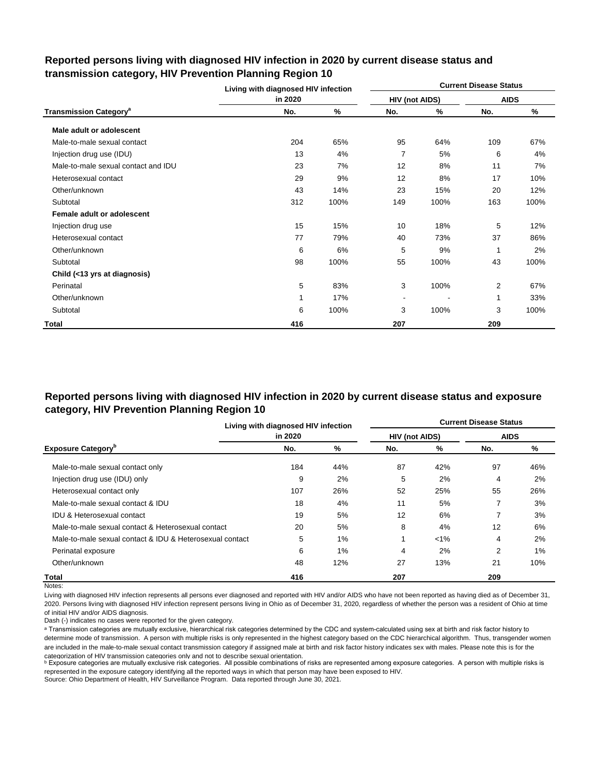|                                           | Living with diagnosed HIV infection |      |                          |      | <b>Current Disease Status</b> |      |  |
|-------------------------------------------|-------------------------------------|------|--------------------------|------|-------------------------------|------|--|
|                                           | in 2020                             |      | HIV (not AIDS)           |      | <b>AIDS</b>                   |      |  |
| <b>Transmission Category</b> <sup>a</sup> | No.                                 | %    | No.                      | %    | No.                           | %    |  |
| Male adult or adolescent                  |                                     |      |                          |      |                               |      |  |
| Male-to-male sexual contact               | 204                                 | 65%  | 95                       | 64%  | 109                           | 67%  |  |
| Injection drug use (IDU)                  | 13                                  | 4%   | $\overline{7}$           | 5%   | 6                             | 4%   |  |
| Male-to-male sexual contact and IDU       | 23                                  | 7%   | 12                       | 8%   | 11                            | 7%   |  |
| Heterosexual contact                      | 29                                  | 9%   | 12                       | 8%   | 17                            | 10%  |  |
| Other/unknown                             | 43                                  | 14%  | 23                       | 15%  | 20                            | 12%  |  |
| Subtotal                                  | 312                                 | 100% | 149                      | 100% | 163                           | 100% |  |
| Female adult or adolescent                |                                     |      |                          |      |                               |      |  |
| Injection drug use                        | 15                                  | 15%  | 10                       | 18%  | 5                             | 12%  |  |
| Heterosexual contact                      | 77                                  | 79%  | 40                       | 73%  | 37                            | 86%  |  |
| Other/unknown                             | 6                                   | 6%   | 5                        | 9%   | 1                             | 2%   |  |
| Subtotal                                  | 98                                  | 100% | 55                       | 100% | 43                            | 100% |  |
| Child (<13 yrs at diagnosis)              |                                     |      |                          |      |                               |      |  |
| Perinatal                                 | 5                                   | 83%  | 3                        | 100% | 2                             | 67%  |  |
| Other/unknown                             | 1                                   | 17%  | $\overline{\phantom{0}}$ |      | 1                             | 33%  |  |
| Subtotal                                  | 6                                   | 100% | 3                        | 100% | 3                             | 100% |  |
| <b>Total</b>                              | 416                                 |      | 207                      |      | 209                           |      |  |

#### **Reported persons living with diagnosed HIV infection in 2020 by current disease status and transmission category, HIV Prevention Planning Region 10**

#### **Reported persons living with diagnosed HIV infection in 2020 by current disease status and exposure category, HIV Prevention Planning Region 10**

|                                                          | Living with diagnosed HIV infection |     |                       | <b>Current Disease Status</b> |             |       |  |  |  |  |
|----------------------------------------------------------|-------------------------------------|-----|-----------------------|-------------------------------|-------------|-------|--|--|--|--|
|                                                          | in 2020                             |     | <b>HIV (not AIDS)</b> |                               | <b>AIDS</b> |       |  |  |  |  |
| <b>Exposure Category</b> <sup>b</sup>                    | No.                                 | %   | No.                   | %                             | No.         | %     |  |  |  |  |
| Male-to-male sexual contact only                         | 184                                 | 44% | 87                    | 42%                           | 97          | 46%   |  |  |  |  |
| Injection drug use (IDU) only                            | 9                                   | 2%  | 5                     | 2%                            | 4           | 2%    |  |  |  |  |
| Heterosexual contact only                                | 107                                 | 26% | 52                    | 25%                           | 55          | 26%   |  |  |  |  |
| Male-to-male sexual contact & IDU                        | 18                                  | 4%  | 11                    | 5%                            |             | 3%    |  |  |  |  |
| <b>IDU &amp; Heterosexual contact</b>                    | 19                                  | 5%  | 12                    | 6%                            |             | 3%    |  |  |  |  |
| Male-to-male sexual contact & Heterosexual contact       | 20                                  | 5%  | 8                     | 4%                            | 12          | 6%    |  |  |  |  |
| Male-to-male sexual contact & IDU & Heterosexual contact | 5                                   | 1%  | 1                     | $< 1\%$                       | 4           | 2%    |  |  |  |  |
| Perinatal exposure                                       | 6                                   | 1%  | 4                     | 2%                            | 2           | $1\%$ |  |  |  |  |
| Other/unknown                                            | 48                                  | 12% | 27                    | 13%                           | 21          | 10%   |  |  |  |  |
| Total                                                    | 416                                 |     | 207                   |                               | 209         |       |  |  |  |  |

Notes:

Living with diagnosed HIV infection represents all persons ever diagnosed and reported with HIV and/or AIDS who have not been reported as having died as of December 31, 2020. Persons living with diagnosed HIV infection represent persons living in Ohio as of December 31, 2020, regardless of whether the person was a resident of Ohio at time of initial HIV and/or AIDS diagnosis.

Dash (-) indicates no cases were reported for the given category.

a Transmission categories are mutually exclusive, hierarchical risk categories determined by the CDC and system-calculated using sex at birth and risk factor history to determine mode of transmission. A person with multiple risks is only represented in the highest category based on the CDC hierarchical algorithm. Thus, transgender women are included in the male-to-male sexual contact transmission category if assigned male at birth and risk factor history indicates sex with males. Please note this is for the categorization of HIV transmission categories only and not to describe sexual orientation.

**b** Exposure categories are mutually exclusive risk categories. All possible combinations of risks are represented among exposure categories. A person with multiple risks is represented in the exposure category identifying all the reported ways in which that person may have been exposed to HIV.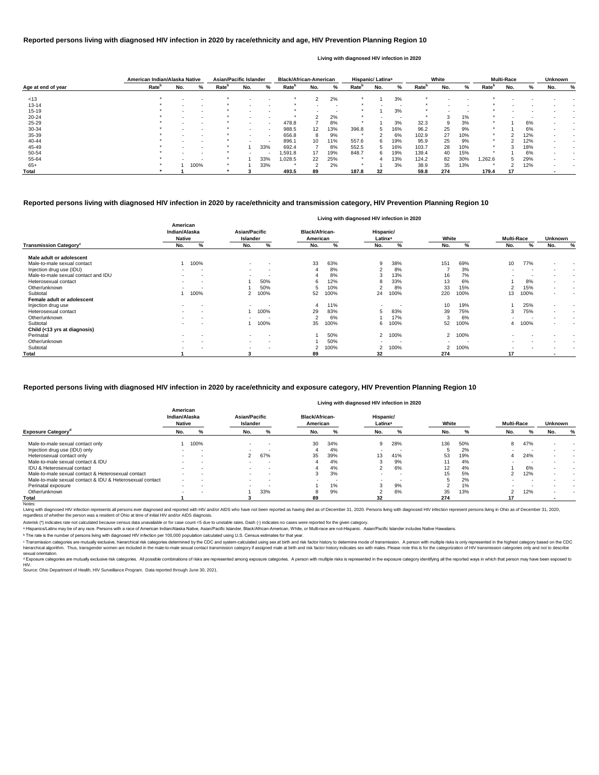|                    | American Indian/Alaska Native |                          |      | <b>Asian/Pacific Islander</b> |        |        | <b>Black/African-American</b> |     |                          |                   | Hispanic/ Latinx <sup>a</sup> |     |                   | White |     |                   | <b>Multi-Race</b> |     | <b>Unknown</b> |   |
|--------------------|-------------------------------|--------------------------|------|-------------------------------|--------|--------|-------------------------------|-----|--------------------------|-------------------|-------------------------------|-----|-------------------|-------|-----|-------------------|-------------------|-----|----------------|---|
| Age at end of year | Rate <sup>n</sup>             | No.                      | %    | Rate <sup>r</sup>             | No.    | %      | Rate <sup>p</sup>             | No. | %                        | Rate <sup>r</sup> | No.                           | %   | Rate <sup>o</sup> | No.   | ℅   | Rate <sup>"</sup> | No.               | %   | No.            | % |
| < 13               |                               |                          |      |                               |        |        |                               | 2   | 2%                       |                   |                               | 3%  |                   |       |     |                   |                   |     |                |   |
| 13-14              |                               |                          |      |                               |        |        |                               |     |                          |                   |                               |     |                   |       |     |                   |                   |     |                |   |
| $15 - 19$          |                               |                          |      |                               |        |        |                               |     | $\overline{\phantom{0}}$ |                   |                               | 3%  |                   |       | . . |                   |                   |     |                |   |
| $20 - 24$          |                               |                          |      |                               |        |        |                               |     | 2%                       |                   |                               |     |                   |       | 1%  |                   |                   |     |                |   |
| $25 - 29$          |                               |                          |      |                               | $\sim$ | $\sim$ | 478.8                         |     | 8%                       |                   |                               | 3%  | 32.3              |       | 3%  |                   |                   | 6%  |                |   |
| 30-34              |                               |                          |      |                               |        | $\sim$ | 988.5                         | 12  | 13%                      | 396.8             | 5                             | 16% | 96.2              | 25    | 9%  |                   |                   | 6%  |                |   |
| 35-39              |                               |                          |      |                               | $\sim$ | $\sim$ | 656.8                         | 8   | 9%                       |                   |                               | 6%  | 102.9             | 27    | 10% | $\star$           |                   | 12% |                |   |
| 40-44              |                               |                          |      |                               |        |        | 896.1                         | 10  | 11%                      | 557.6             | 6                             | 19% | 95.9              | 25    | 9%  | $\star$           |                   | 12% |                |   |
| 45-49              |                               | $\overline{\phantom{0}}$ |      |                               |        | 33%    | 692.4                         |     | 8%                       | 552.5             | $\mathbf{b}$                  | 16% | 103.7             | 28    | 10% | $\star$           |                   | 18% |                |   |
| 50-54              |                               |                          |      |                               | $\sim$ |        | .591.8                        | 17  | 19%                      | 848.7             | 6                             | 19% | 139.4             | 40    | 15% |                   |                   | 6%  |                |   |
| 55-64              |                               |                          |      |                               |        | 33%    | 1,028.5                       | 22  | 25%                      |                   |                               | 13% | 124.2             | 82    | 30% | 262.6             |                   | 29% |                |   |
| $65+$              |                               |                          | 100% |                               |        | 33%    |                               |     | 2%                       |                   |                               | 3%  | 38.9              | 35    | 13% |                   |                   | 12% |                |   |
| Total              |                               |                          |      |                               |        |        | 493.5                         | 89  |                          | 187.8             | 32                            |     | 59.8              | 274   |     | 179.4             | 17                |     |                |   |

<sup>c</sup> Transmission categories are mutually exclusive, hierarchical risk categories determined by the CDC and system-calculated using sex at birth and risk factor history to determine mode of transmission. A person with multi hierarchical algorithm. Thus, transgender women are included in the male-to-male sexual contact transmission category if assigned male at birth and risk factor history indicates sex with males. Please note this is for the sexual orientation.

<sup>d</sup> Exposure categories are mutually exclusive risk categories. All possible combinations of risks are represented among exposure categories. A person with multiple risks is represented in the exposure category identifying

|                                           |                                            |                                         |                                   | Living with diagnosed HIV infection in 2020 |                        |                   |                                            |
|-------------------------------------------|--------------------------------------------|-----------------------------------------|-----------------------------------|---------------------------------------------|------------------------|-------------------|--------------------------------------------|
|                                           | American<br>Indian/Alaska<br><b>Native</b> | <b>Asian/Pacific</b><br><b>Islander</b> | <b>Black/African-</b><br>American | Hispanic/<br>Latinx <sup>a</sup>            | White                  | <b>Multi-Race</b> | <b>Unknown</b>                             |
| <b>Transmission Category</b> <sup>c</sup> | %<br>No.                                   | $\%$<br>No.                             | %<br>No.                          | No.<br>%                                    | %<br>No.               | %<br>No.          | %<br>No.                                   |
| Male adult or adolescent                  |                                            |                                         |                                   |                                             |                        |                   |                                            |
| Male-to-male sexual contact               | 100%                                       | $\overline{\phantom{a}}$<br>$\sim$      | 33<br>63%                         | 38%<br>9                                    | 69%<br>151             | 77%<br>10         | $\blacksquare$<br>$\sim$                   |
| Injection drug use (IDU)                  | $\,$                                       | $\sim$<br>$\blacksquare$                | 8%                                | 8%<br>◠                                     | 3%                     | $\sim$            |                                            |
| Male-to-male sexual contact and IDU       | $\overline{\phantom{a}}$                   |                                         | 8%                                | 13%<br>◠                                    | 7%<br>16               |                   | $\overline{\phantom{a}}$<br>$\blacksquare$ |
| Heterosexual contact                      | $\overline{\phantom{a}}$<br>$\sim$         | 50%                                     | 12%                               | 33%<br>ŏ                                    | 6%<br>13               | 8%                | $\sim$<br>$\overline{\phantom{a}}$         |
| Other/unknown                             |                                            | 50%                                     | 10%                               | 8%<br>$\overline{2}$                        | 33<br>15%              | 15%<br>2          | $\sim$<br>$\overline{\phantom{a}}$         |
| Subtotal                                  | 100%                                       | 100%                                    | 52<br>100%                        | 100%<br>24                                  | 220<br>100%            | 100%<br>13        | $\sim$<br>$\overline{\phantom{a}}$         |
| Female adult or adolescent                |                                            |                                         |                                   |                                             |                        |                   |                                            |
| Injection drug use                        | $\overline{\phantom{a}}$<br>$\sim$         | $\overline{\phantom{a}}$                | 11%                               | $\overline{\phantom{a}}$                    | 19%<br>10              | 25%               | $\sim$<br>$\sim$                           |
| Heterosexual contact                      | $\overline{\phantom{a}}$<br>$\sim$         | 1 100%                                  | 29<br>83%                         | 83%<br>5                                    | 39<br>75%              | 75%<br>3          | $\sim$<br>$\overline{\phantom{a}}$         |
| Other/unknown                             |                                            |                                         | 6%<br>$\sim$                      | 17%                                         | 6%<br>3                |                   | $\overline{\phantom{a}}$<br>$\blacksquare$ |
| Subtotal                                  | $\overline{\phantom{a}}$                   | 100%                                    | 100%<br>35                        | 100%<br>6                                   | 100%<br>52             | 100%<br>4         | $\overline{\phantom{a}}$<br>$\blacksquare$ |
| Child (<13 yrs at diagnosis)              |                                            |                                         |                                   |                                             |                        |                   |                                            |
| Perinatal                                 | $\sim$<br>$\overline{\phantom{a}}$         | $\sim$<br>$\overline{\phantom{a}}$      | 50%                               | 100%<br>2                                   | 100%<br>2              |                   |                                            |
| Other/unknown                             | $\overline{\phantom{a}}$                   | $\overline{\phantom{a}}$<br>$\sim$      | 50%                               |                                             |                        |                   |                                            |
| Subtotal                                  | $\,$                                       | $\sim$<br>$\blacksquare$                | 100%                              | 100%<br>2                                   | 100%<br>$\overline{2}$ |                   |                                            |
| <b>Total</b>                              |                                            |                                         | 89                                | 32                                          | 274                    | 17                |                                            |

|                                                          |                                            |                          |                                  |                |                                   |       | Living with diagnosed HIV infection in 2020 |     |       |     |                   |     |                |                          |
|----------------------------------------------------------|--------------------------------------------|--------------------------|----------------------------------|----------------|-----------------------------------|-------|---------------------------------------------|-----|-------|-----|-------------------|-----|----------------|--------------------------|
|                                                          | American<br>Indian/Alaska<br><b>Native</b> |                          | <b>Asian/Pacific</b><br>Islander |                | <b>Black/African-</b><br>American |       | Hispanic/<br>Latinx <sup>a</sup>            |     | White |     | <b>Multi-Race</b> |     | <b>Unknown</b> |                          |
| <b>Exposure Category<sup>d</sup></b>                     | No.                                        | %                        | No.                              | %              | No.                               | %     | No.                                         |     | No.   |     | No.               |     | No.            | %                        |
| Male-to-male sexual contact only                         |                                            | 100%                     |                                  | $\blacksquare$ | 30                                | 34%   | 9                                           | 28% | 136   | 50% | 8                 | 47% |                |                          |
| Injection drug use (IDU) only                            |                                            | . .                      | $\sim$                           | . .            |                                   | 4%    |                                             | -   |       | 2%  |                   |     |                |                          |
| Heterosexual contact only                                | $\sim$                                     | $\overline{\phantom{a}}$ | $\mathcal{P}$                    | 67%            | 35                                | 39%   | 13                                          | 41% | 53    | 19% | 4                 | 24% |                | $\overline{\phantom{a}}$ |
| Male-to-male sexual contact & IDU                        |                                            |                          |                                  |                |                                   | 4%    | ۰J                                          | 9%  |       | 4%  |                   |     |                |                          |
| <b>IDU &amp; Heterosexual contact</b>                    | $\sim$                                     | . .                      | $\sim$                           | . .            |                                   | 4%    |                                             | 6%  | 12    | 4%  |                   | 6%  | -              | $\overline{\phantom{a}}$ |
| Male-to-male sexual contact & Heterosexual contact       |                                            | -                        | $\sim$                           | $\sim$         |                                   | 3%    |                                             | . . | 15    | 5%  |                   | 12% |                | $\,$ $\,$                |
| Male-to-male sexual contact & IDU & Heterosexual contact | $\sim$                                     | -                        | . .                              | . .            |                                   | -     |                                             |     |       | 2%  |                   |     |                |                          |
| Perinatal exposure                                       |                                            |                          |                                  |                |                                   | $1\%$ |                                             | 9%  |       | 1%  |                   |     |                |                          |
| Other/unknown                                            |                                            | . .                      |                                  | 33%            |                                   | 9%    |                                             | 6%  | 35    | 13% | c                 | 12% |                | $\overline{\phantom{a}}$ |
| Total                                                    |                                            |                          |                                  |                | 89                                |       | 32                                          |     | 274   |     | 17                |     |                |                          |

Notes:

Living with diagnosed HIV infection represents all persons ever diagnosed and reported with HIV and/or AIDS who have not been reported as having died as of December 31, 2020. Persons living with diagnosed HIV infection rep regardless of whether the person was a resident of Ohio at time of initial HIV and/or AIDS diagnosis.

#### **Reported persons living with diagnosed HIV infection in 2020 by race/ethnicity and transmission category, HIV Prevention Planning Region 10**

#### **Reported persons living with diagnosed HIV infection in 2020 by race/ethnicity and age, HIV Prevention Planning Region 10**

#### **Living with diagnosed HIV infection in 2020**

#### **Reported persons living with diagnosed HIV infection in 2020 by race/ethnicity and exposure category, HIV Prevention Planning Region 10**

ᵇ The rate is the number of persons living with diagnosed HIV infection per 100,000 population calculated using U.S. Census estimates for that year.

Source: Ohio Department of Health, HIV Surveillance Program. Data reported through June 30, 2021. HIV.

Asterisk (\*) indicates rate not calculated because census data unavailable or for case count <5 due to unstable rates. Dash (-) indicates no cases were reported for the given category.

a Hispanics/Latinx may be of any race. Persons with a race of American Indian/Alaska Native, Asian/Pacific Islander, Black/African-American, White, or Multi-race are not-Hispanic. Asian/Pacific Islander includes Native Haw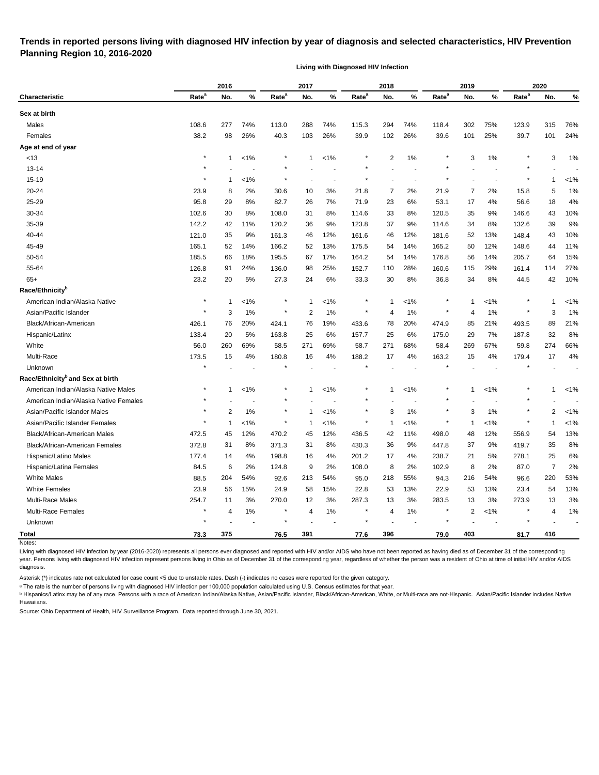#### **Trends in reported persons living with diagnosed HIV infection by year of diagnosis and selected characteristics, HIV Prevention Planning Region 10, 2016-2020**

**Living with Diagnosed HIV Infection**

|                                              |                   | 2016 |         |                   | 2017         |         |                   | 2018           |         |                   | 2019           |         |                   | 2020           |         |
|----------------------------------------------|-------------------|------|---------|-------------------|--------------|---------|-------------------|----------------|---------|-------------------|----------------|---------|-------------------|----------------|---------|
| <b>Characteristic</b>                        | Rate <sup>a</sup> | No.  | %       | Rate <sup>a</sup> | No.          | $\%$    | Rate <sup>a</sup> | No.            | %       | Rate <sup>a</sup> | No.            | %       | Rate <sup>a</sup> | No.            | %       |
| Sex at birth                                 |                   |      |         |                   |              |         |                   |                |         |                   |                |         |                   |                |         |
| Males                                        | 108.6             | 277  | 74%     | 113.0             | 288          | 74%     | 115.3             | 294            | 74%     | 118.4             | 302            | 75%     | 123.9             | 315            | 76%     |
| Females                                      | 38.2              | 98   | 26%     | 40.3              | 103          | 26%     | 39.9              | 102            | 26%     | 39.6              | 101            | 25%     | 39.7              | 101            | 24%     |
| Age at end of year                           |                   |      |         |                   |              |         |                   |                |         |                   |                |         |                   |                |         |
| < 13                                         | $\star$           | 1    | 1%      |                   | $\mathbf{1}$ | $1\%$   |                   | $\overline{2}$ | 1%      |                   | 3              | 1%      |                   | 3              | 1%      |
| $13 - 14$                                    |                   |      |         |                   |              |         |                   |                |         |                   |                |         |                   |                |         |
| 15-19                                        | ×                 | 1    | $< 1\%$ | $\star$           |              |         | $\star$           |                |         |                   |                |         |                   | 1              | $< 1\%$ |
| $20 - 24$                                    | 23.9              | 8    | 2%      | 30.6              | 10           | 3%      | 21.8              | 7              | 2%      | 21.9              | 7              | 2%      | 15.8              | 5              | 1%      |
| 25-29                                        | 95.8              | 29   | 8%      | 82.7              | 26           | 7%      | 71.9              | 23             | 6%      | 53.1              | 17             | 4%      | 56.6              | 18             | 4%      |
| 30-34                                        | 102.6             | 30   | 8%      | 108.0             | 31           | 8%      | 114.6             | 33             | 8%      | 120.5             | 35             | 9%      | 146.6             | 43             | 10%     |
| 35-39                                        | 142.2             | 42   | 11%     | 120.2             | 36           | 9%      | 123.8             | 37             | 9%      | 114.6             | 34             | 8%      | 132.6             | 39             | 9%      |
| 40-44                                        | 121.0             | 35   | 9%      | 161.3             | 46           | 12%     | 161.6             | 46             | 12%     | 181.6             | 52             | 13%     | 148.4             | 43             | 10%     |
| 45-49                                        | 165.1             | 52   | 14%     | 166.2             | 52           | 13%     | 175.5             | 54             | 14%     | 165.2             | 50             | 12%     | 148.6             | 44             | 11%     |
| 50-54                                        | 185.5             | 66   | 18%     | 195.5             | 67           | 17%     | 164.2             | 54             | 14%     | 176.8             | 56             | 14%     | 205.7             | 64             | 15%     |
| 55-64                                        | 126.8             | 91   | 24%     | 136.0             | 98           | 25%     | 152.7             | 110            | 28%     | 160.6             | 115            | 29%     | 161.4             | 114            | 27%     |
| $65+$                                        | 23.2              | 20   | 5%      | 27.3              | 24           | 6%      | 33.3              | 30             | 8%      | 36.8              | 34             | 8%      | 44.5              | 42             | 10%     |
| Race/Ethnicity <sup>b</sup>                  |                   |      |         |                   |              |         |                   |                |         |                   |                |         |                   |                |         |
| American Indian/Alaska Native                | $\star$           | 1    | $< 1\%$ | $\ast$            | $\mathbf{1}$ | $< 1\%$ |                   | $\mathbf 1$    | $< 1\%$ |                   | $\mathbf{1}$   | $< 1\%$ |                   | -1             | $< 1\%$ |
| Asian/Pacific Islander                       |                   | 3    | 1%      | $\ast$            | 2            | 1%      | $\ast$            | 4              | 1%      |                   | 4              | 1%      |                   | 3              | 1%      |
| Black/African-American                       | 426.1             | 76   | 20%     | 424.1             | 76           | 19%     | 433.6             | 78             | 20%     | 474.9             | 85             | 21%     | 493.5             | 89             | 21%     |
| Hispanic/Latinx                              | 133.4             | 20   | 5%      | 163.8             | 25           | 6%      | 157.7             | 25             | 6%      | 175.0             | 29             | 7%      | 187.8             | 32             | 8%      |
| White                                        | 56.0              | 260  | 69%     | 58.5              | 271          | 69%     | 58.7              | 271            | 68%     | 58.4              | 269            | 67%     | 59.8              | 274            | 66%     |
| Multi-Race                                   | 173.5             | 15   | 4%      | 180.8             | 16           | 4%      | 188.2             | 17             | 4%      | 163.2             | 15             | 4%      | 179.4             | 17             | 4%      |
| Unknown                                      |                   |      |         |                   |              |         |                   |                |         |                   |                |         |                   |                |         |
| Race/Ethnicity <sup>b</sup> and Sex at birth |                   |      |         |                   |              |         |                   |                |         |                   |                |         |                   |                |         |
| American Indian/Alaska Native Males          |                   | 1    | 1%      |                   | $\mathbf 1$  | $< 1\%$ |                   | $\mathbf 1$    | $< 1\%$ |                   | 1              | $< 1\%$ |                   | 1              | 1%      |
| American Indian/Alaska Native Females        |                   |      |         |                   |              |         |                   |                |         |                   |                |         |                   |                |         |
| Asian/Pacific Islander Males                 |                   | 2    | 1%      | $\star$           | 1            | $< 1\%$ | $^\ast$           | 3              | 1%      |                   | 3              | 1%      |                   | 2              | $< 1\%$ |
| Asian/Pacific Islander Females               |                   | 1    | $< 1\%$ | $^\star$          | -1           | $< 1\%$ | $^\ast$           | -1             | $< 1\%$ |                   | -1             | $< 1\%$ |                   | 1              | $< 1\%$ |
| Black/African-American Males                 | 472.5             | 45   | 12%     | 470.2             | 45           | 12%     | 436.5             | 42             | 11%     | 498.0             | 48             | 12%     | 556.9             | 54             | 13%     |
| Black/African-American Females               | 372.8             | 31   | 8%      | 371.3             | 31           | 8%      | 430.3             | 36             | 9%      | 447.8             | 37             | 9%      | 419.7             | 35             | 8%      |
| Hispanic/Latino Males                        | 177.4             | 14   | 4%      | 198.8             | 16           | 4%      | 201.2             | 17             | 4%      | 238.7             | 21             | 5%      | 278.1             | 25             | 6%      |
| Hispanic/Latina Females                      | 84.5              | 6    | 2%      | 124.8             | 9            | 2%      | 108.0             | 8              | 2%      | 102.9             | 8              | 2%      | 87.0              | $\overline{7}$ | 2%      |
| <b>White Males</b>                           | 88.5              | 204  | 54%     | 92.6              | 213          | 54%     | 95.0              | 218            | 55%     | 94.3              | 216            | 54%     | 96.6              | 220            | 53%     |
| <b>White Females</b>                         | 23.9              | 56   | 15%     | 24.9              | 58           | 15%     | 22.8              | 53             | 13%     | 22.9              | 53             | 13%     | 23.4              | 54             | 13%     |
| Multi-Race Males                             | 254.7             | 11   | 3%      | 270.0             | 12           | 3%      | 287.3             | 13             | 3%      | 283.5             | 13             | 3%      | 273.9             | 13             | 3%      |
| Multi-Race Females                           | $\star$           | 4    | $1\%$   | $^{\ast}$         | 4            | 1%      | $\star$           | 4              | $1\%$   |                   | $\overline{2}$ | $< 1\%$ |                   | 4              | 1%      |
| Unknown                                      | $\star$           |      |         |                   |              |         | $\star$           |                |         |                   |                |         |                   |                |         |
| <b>Total</b>                                 | 73.3              | 375  |         | 76.5              | 391          |         | 77.6              | 396            |         | 79.0              | 403            |         | 81.7              | 416            |         |
| Notes:                                       |                   |      |         |                   |              |         |                   |                |         |                   |                |         |                   |                |         |

Living with diagnosed HIV infection by year (2016-2020) represents all persons ever diagnosed and reported with HIV and/or AIDS who have not been reported as having died as of December 31 of the corresponding year. Persons living with diagnosed HIV infection represent persons living in Ohio as of December 31 of the corresponding year, regardless of whether the person was a resident of Ohio at time of initial HIV and/or AIDS diagnosis.

Asterisk (\*) indicates rate not calculated for case count <5 due to unstable rates. Dash (-) indicates no cases were reported for the given category.

a The rate is the number of persons living with diagnosed HIV infection per 100,000 population calculated using U.S. Census estimates for that year.

**b** Hispanics/Latinx may be of any race. Persons with a race of American Indian/Alaska Native, Asian/Pacific Islander, Black/African-American, White, or Multi-race are not-Hispanic. Asian/Pacific Islander includes Native Hawaiians.